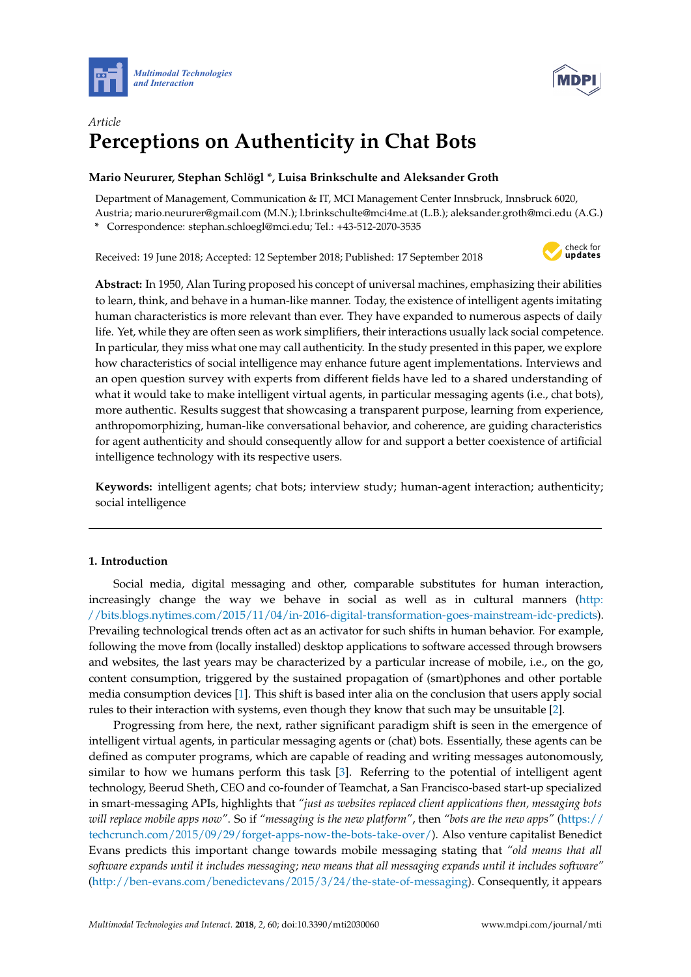



# *Article* **Perceptions on Authenticity in Chat Bots**

# **Mario Neururer, Stephan Schlögl \*, Luisa Brinkschulte and Aleksander Groth**

Department of Management, Communication & IT, MCI Management Center Innsbruck, Innsbruck 6020, Austria; mario.neururer@gmail.com (M.N.); l.brinkschulte@mci4me.at (L.B.); aleksander.groth@mci.edu (A.G.)

**\*** Correspondence: stephan.schloegl@mci.edu; Tel.: +43-512-2070-3535

Received: 19 June 2018; Accepted: 12 September 2018; Published: 17 September 2018



**Abstract:** In 1950, Alan Turing proposed his concept of universal machines, emphasizing their abilities to learn, think, and behave in a human-like manner. Today, the existence of intelligent agents imitating human characteristics is more relevant than ever. They have expanded to numerous aspects of daily life. Yet, while they are often seen as work simplifiers, their interactions usually lack social competence. In particular, they miss what one may call authenticity. In the study presented in this paper, we explore how characteristics of social intelligence may enhance future agent implementations. Interviews and an open question survey with experts from different fields have led to a shared understanding of what it would take to make intelligent virtual agents, in particular messaging agents (i.e., chat bots), more authentic. Results suggest that showcasing a transparent purpose, learning from experience, anthropomorphizing, human-like conversational behavior, and coherence, are guiding characteristics for agent authenticity and should consequently allow for and support a better coexistence of artificial intelligence technology with its respective users.

**Keywords:** intelligent agents; chat bots; interview study; human-agent interaction; authenticity; social intelligence

# **1. Introduction**

Social media, digital messaging and other, comparable substitutes for human interaction, increasingly change the way we behave in social as well as in cultural manners [\(http:](http://bits.blogs.nytimes.com/2015/11/04/in-2016-digital-transformation-goes-mainstream-idc-predicts) [//bits.blogs.nytimes.com/2015/11/04/in-2016-digital-transformation-goes-mainstream-idc-predicts\)](http://bits.blogs.nytimes.com/2015/11/04/in-2016-digital-transformation-goes-mainstream-idc-predicts). Prevailing technological trends often act as an activator for such shifts in human behavior. For example, following the move from (locally installed) desktop applications to software accessed through browsers and websites, the last years may be characterized by a particular increase of mobile, i.e., on the go, content consumption, triggered by the sustained propagation of (smart)phones and other portable media consumption devices [\[1\]](#page-15-0). This shift is based inter alia on the conclusion that users apply social rules to their interaction with systems, even though they know that such may be unsuitable [\[2\]](#page-15-1).

Progressing from here, the next, rather significant paradigm shift is seen in the emergence of intelligent virtual agents, in particular messaging agents or (chat) bots. Essentially, these agents can be defined as computer programs, which are capable of reading and writing messages autonomously, similar to how we humans perform this task [\[3\]](#page-15-2). Referring to the potential of intelligent agent technology, Beerud Sheth, CEO and co-founder of Teamchat, a San Francisco-based start-up specialized in smart-messaging APIs, highlights that *"just as websites replaced client applications then, messaging bots will replace mobile apps now"*. So if *"messaging is the new platform"*, then *"bots are the new apps"* [\(https://](https://techcrunch.com/2015/09/29/forget-apps-now-the-bots-take-over/) [techcrunch.com/2015/09/29/forget-apps-now-the-bots-take-over/\)](https://techcrunch.com/2015/09/29/forget-apps-now-the-bots-take-over/). Also venture capitalist Benedict Evans predicts this important change towards mobile messaging stating that *"old means that all software expands until it includes messaging; new means that all messaging expands until it includes software"* [\(http://ben-evans.com/benedictevans/2015/3/24/the-state-of-messaging\)](http://ben-evans.com/benedictevans/2015/3/24/the-state-of-messaging). Consequently, it appears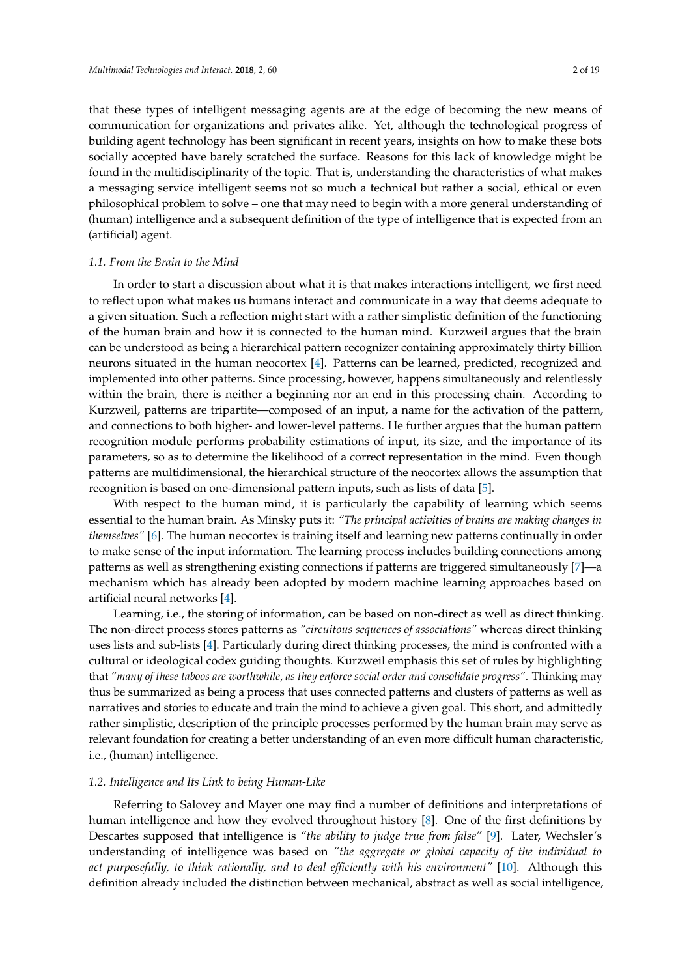that these types of intelligent messaging agents are at the edge of becoming the new means of communication for organizations and privates alike. Yet, although the technological progress of building agent technology has been significant in recent years, insights on how to make these bots socially accepted have barely scratched the surface. Reasons for this lack of knowledge might be found in the multidisciplinarity of the topic. That is, understanding the characteristics of what makes a messaging service intelligent seems not so much a technical but rather a social, ethical or even philosophical problem to solve – one that may need to begin with a more general understanding of (human) intelligence and a subsequent definition of the type of intelligence that is expected from an (artificial) agent.

#### *1.1. From the Brain to the Mind*

In order to start a discussion about what it is that makes interactions intelligent, we first need to reflect upon what makes us humans interact and communicate in a way that deems adequate to a given situation. Such a reflection might start with a rather simplistic definition of the functioning of the human brain and how it is connected to the human mind. Kurzweil argues that the brain can be understood as being a hierarchical pattern recognizer containing approximately thirty billion neurons situated in the human neocortex [\[4\]](#page-15-3). Patterns can be learned, predicted, recognized and implemented into other patterns. Since processing, however, happens simultaneously and relentlessly within the brain, there is neither a beginning nor an end in this processing chain. According to Kurzweil, patterns are tripartite—composed of an input, a name for the activation of the pattern, and connections to both higher- and lower-level patterns. He further argues that the human pattern recognition module performs probability estimations of input, its size, and the importance of its parameters, so as to determine the likelihood of a correct representation in the mind. Even though patterns are multidimensional, the hierarchical structure of the neocortex allows the assumption that recognition is based on one-dimensional pattern inputs, such as lists of data [\[5\]](#page-15-4).

With respect to the human mind, it is particularly the capability of learning which seems essential to the human brain. As Minsky puts it: *"The principal activities of brains are making changes in themselves"* [\[6\]](#page-15-5). The human neocortex is training itself and learning new patterns continually in order to make sense of the input information. The learning process includes building connections among patterns as well as strengthening existing connections if patterns are triggered simultaneously [\[7\]](#page-15-6)—a mechanism which has already been adopted by modern machine learning approaches based on artificial neural networks [\[4\]](#page-15-3).

Learning, i.e., the storing of information, can be based on non-direct as well as direct thinking. The non-direct process stores patterns as *"circuitous sequences of associations"* whereas direct thinking uses lists and sub-lists [\[4\]](#page-15-3). Particularly during direct thinking processes, the mind is confronted with a cultural or ideological codex guiding thoughts. Kurzweil emphasis this set of rules by highlighting that *"many of these taboos are worthwhile, as they enforce social order and consolidate progress"*. Thinking may thus be summarized as being a process that uses connected patterns and clusters of patterns as well as narratives and stories to educate and train the mind to achieve a given goal. This short, and admittedly rather simplistic, description of the principle processes performed by the human brain may serve as relevant foundation for creating a better understanding of an even more difficult human characteristic, i.e., (human) intelligence.

#### *1.2. Intelligence and Its Link to being Human-Like*

Referring to Salovey and Mayer one may find a number of definitions and interpretations of human intelligence and how they evolved throughout history [\[8\]](#page-15-7). One of the first definitions by Descartes supposed that intelligence is *"the ability to judge true from false"* [\[9\]](#page-15-8). Later, Wechsler's understanding of intelligence was based on *"the aggregate or global capacity of the individual to act purposefully, to think rationally, and to deal efficiently with his environment"* [\[10\]](#page-15-9). Although this definition already included the distinction between mechanical, abstract as well as social intelligence,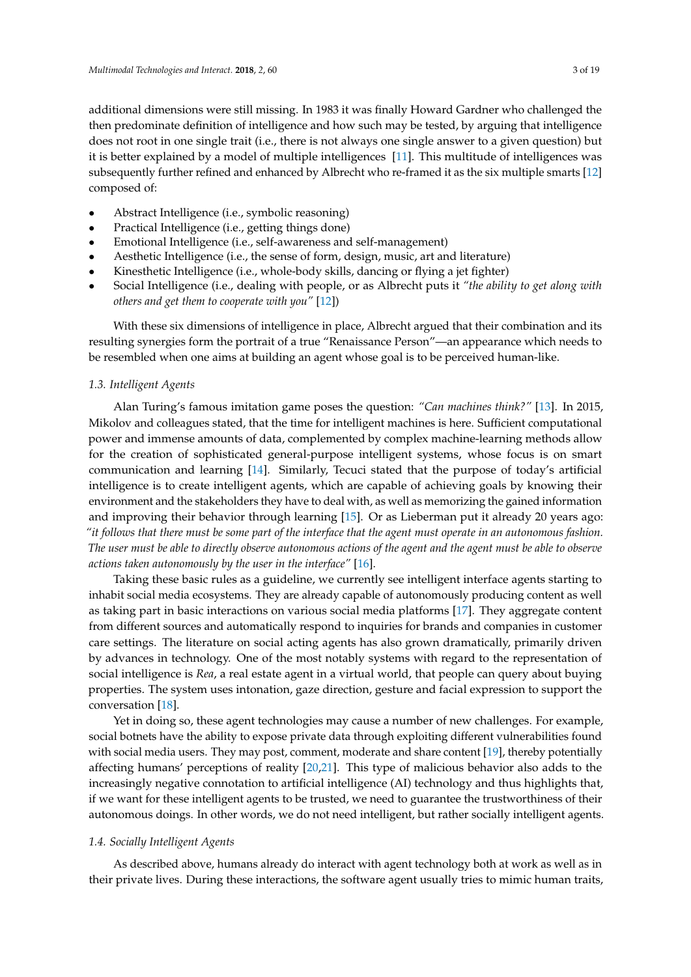additional dimensions were still missing. In 1983 it was finally Howard Gardner who challenged the then predominate definition of intelligence and how such may be tested, by arguing that intelligence does not root in one single trait (i.e., there is not always one single answer to a given question) but it is better explained by a model of multiple intelligences [\[11\]](#page-15-10). This multitude of intelligences was subsequently further refined and enhanced by Albrecht who re-framed it as the six multiple smarts [\[12\]](#page-15-11) composed of:

- Abstract Intelligence (i.e., symbolic reasoning)
- Practical Intelligence (i.e., getting things done)
- Emotional Intelligence (i.e., self-awareness and self-management)
- Aesthetic Intelligence (i.e., the sense of form, design, music, art and literature)
- Kinesthetic Intelligence (i.e., whole-body skills, dancing or flying a jet fighter)
- Social Intelligence (i.e., dealing with people, or as Albrecht puts it *"the ability to get along with others and get them to cooperate with you"* [\[12\]](#page-15-11))

With these six dimensions of intelligence in place, Albrecht argued that their combination and its resulting synergies form the portrait of a true "Renaissance Person"—an appearance which needs to be resembled when one aims at building an agent whose goal is to be perceived human-like.

#### *1.3. Intelligent Agents*

Alan Turing's famous imitation game poses the question: *"Can machines think?"* [\[13\]](#page-15-12). In 2015, Mikolov and colleagues stated, that the time for intelligent machines is here. Sufficient computational power and immense amounts of data, complemented by complex machine-learning methods allow for the creation of sophisticated general-purpose intelligent systems, whose focus is on smart communication and learning [\[14\]](#page-15-13). Similarly, Tecuci stated that the purpose of today's artificial intelligence is to create intelligent agents, which are capable of achieving goals by knowing their environment and the stakeholders they have to deal with, as well as memorizing the gained information and improving their behavior through learning [\[15\]](#page-15-14). Or as Lieberman put it already 20 years ago: *"it follows that there must be some part of the interface that the agent must operate in an autonomous fashion. The user must be able to directly observe autonomous actions of the agent and the agent must be able to observe actions taken autonomously by the user in the interface"* [\[16\]](#page-15-15).

Taking these basic rules as a guideline, we currently see intelligent interface agents starting to inhabit social media ecosystems. They are already capable of autonomously producing content as well as taking part in basic interactions on various social media platforms [\[17\]](#page-15-16). They aggregate content from different sources and automatically respond to inquiries for brands and companies in customer care settings. The literature on social acting agents has also grown dramatically, primarily driven by advances in technology. One of the most notably systems with regard to the representation of social intelligence is *Rea*, a real estate agent in a virtual world, that people can query about buying properties. The system uses intonation, gaze direction, gesture and facial expression to support the conversation [\[18\]](#page-15-17).

Yet in doing so, these agent technologies may cause a number of new challenges. For example, social botnets have the ability to expose private data through exploiting different vulnerabilities found with social media users. They may post, comment, moderate and share content [\[19\]](#page-15-18), thereby potentially affecting humans' perceptions of reality [\[20](#page-15-19)[,21\]](#page-15-20). This type of malicious behavior also adds to the increasingly negative connotation to artificial intelligence (AI) technology and thus highlights that, if we want for these intelligent agents to be trusted, we need to guarantee the trustworthiness of their autonomous doings. In other words, we do not need intelligent, but rather socially intelligent agents.

## *1.4. Socially Intelligent Agents*

As described above, humans already do interact with agent technology both at work as well as in their private lives. During these interactions, the software agent usually tries to mimic human traits,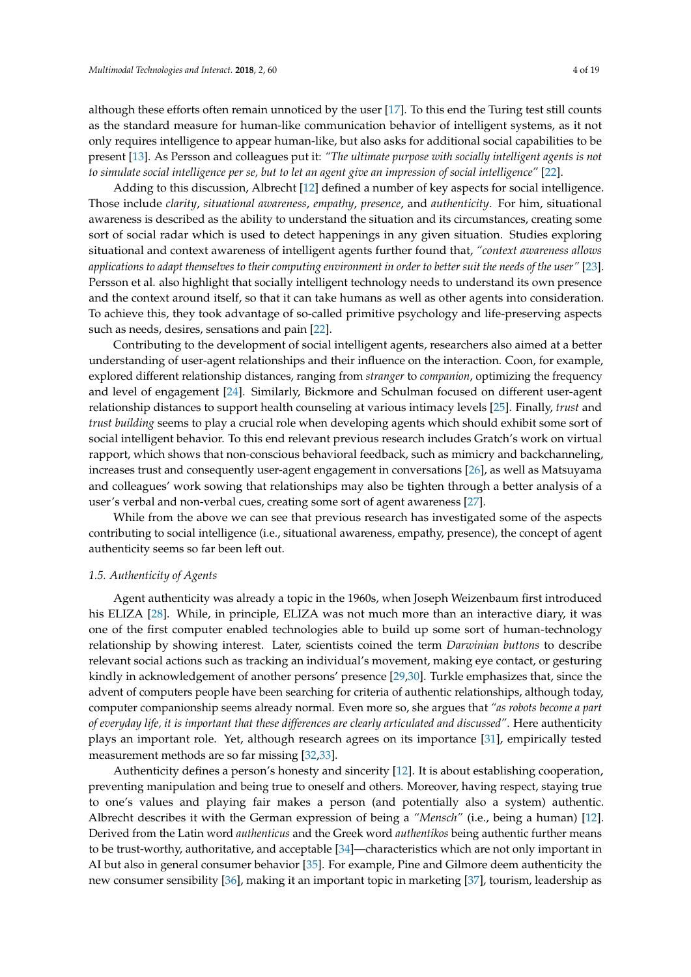although these efforts often remain unnoticed by the user [\[17\]](#page-15-16). To this end the Turing test still counts as the standard measure for human-like communication behavior of intelligent systems, as it not only requires intelligence to appear human-like, but also asks for additional social capabilities to be present [\[13\]](#page-15-12). As Persson and colleagues put it: *"The ultimate purpose with socially intelligent agents is not to simulate social intelligence per se, but to let an agent give an impression of social intelligence"* [\[22\]](#page-15-21).

Adding to this discussion, Albrecht [\[12\]](#page-15-11) defined a number of key aspects for social intelligence. Those include *clarity*, *situational awareness*, *empathy*, *presence*, and *authenticity*. For him, situational awareness is described as the ability to understand the situation and its circumstances, creating some sort of social radar which is used to detect happenings in any given situation. Studies exploring situational and context awareness of intelligent agents further found that, *"context awareness allows applications to adapt themselves to their computing environment in order to better suit the needs of the user"* [\[23\]](#page-15-22). Persson et al. also highlight that socially intelligent technology needs to understand its own presence and the context around itself, so that it can take humans as well as other agents into consideration. To achieve this, they took advantage of so-called primitive psychology and life-preserving aspects such as needs, desires, sensations and pain [\[22\]](#page-15-21).

Contributing to the development of social intelligent agents, researchers also aimed at a better understanding of user-agent relationships and their influence on the interaction. Coon, for example, explored different relationship distances, ranging from *stranger* to *companion*, optimizing the frequency and level of engagement [\[24\]](#page-15-23). Similarly, Bickmore and Schulman focused on different user-agent relationship distances to support health counseling at various intimacy levels [\[25\]](#page-15-24). Finally, *trust* and *trust building* seems to play a crucial role when developing agents which should exhibit some sort of social intelligent behavior. To this end relevant previous research includes Gratch's work on virtual rapport, which shows that non-conscious behavioral feedback, such as mimicry and backchanneling, increases trust and consequently user-agent engagement in conversations [\[26\]](#page-15-25), as well as Matsuyama and colleagues' work sowing that relationships may also be tighten through a better analysis of a user's verbal and non-verbal cues, creating some sort of agent awareness [\[27\]](#page-16-0).

While from the above we can see that previous research has investigated some of the aspects contributing to social intelligence (i.e., situational awareness, empathy, presence), the concept of agent authenticity seems so far been left out.

## *1.5. Authenticity of Agents*

Agent authenticity was already a topic in the 1960s, when Joseph Weizenbaum first introduced his ELIZA [\[28\]](#page-16-1). While, in principle, ELIZA was not much more than an interactive diary, it was one of the first computer enabled technologies able to build up some sort of human-technology relationship by showing interest. Later, scientists coined the term *Darwinian buttons* to describe relevant social actions such as tracking an individual's movement, making eye contact, or gesturing kindly in acknowledgement of another persons' presence [\[29,](#page-16-2)[30\]](#page-16-3). Turkle emphasizes that, since the advent of computers people have been searching for criteria of authentic relationships, although today, computer companionship seems already normal. Even more so, she argues that *"as robots become a part of everyday life, it is important that these differences are clearly articulated and discussed"*. Here authenticity plays an important role. Yet, although research agrees on its importance [\[31\]](#page-16-4), empirically tested measurement methods are so far missing [\[32](#page-16-5)[,33\]](#page-16-6).

Authenticity defines a person's honesty and sincerity [\[12\]](#page-15-11). It is about establishing cooperation, preventing manipulation and being true to oneself and others. Moreover, having respect, staying true to one's values and playing fair makes a person (and potentially also a system) authentic. Albrecht describes it with the German expression of being a *"Mensch"* (i.e., being a human) [\[12\]](#page-15-11). Derived from the Latin word *authenticus* and the Greek word *authentikos* being authentic further means to be trust-worthy, authoritative, and acceptable [\[34\]](#page-16-7)—characteristics which are not only important in AI but also in general consumer behavior [\[35\]](#page-16-8). For example, Pine and Gilmore deem authenticity the new consumer sensibility [\[36\]](#page-16-9), making it an important topic in marketing [\[37\]](#page-16-10), tourism, leadership as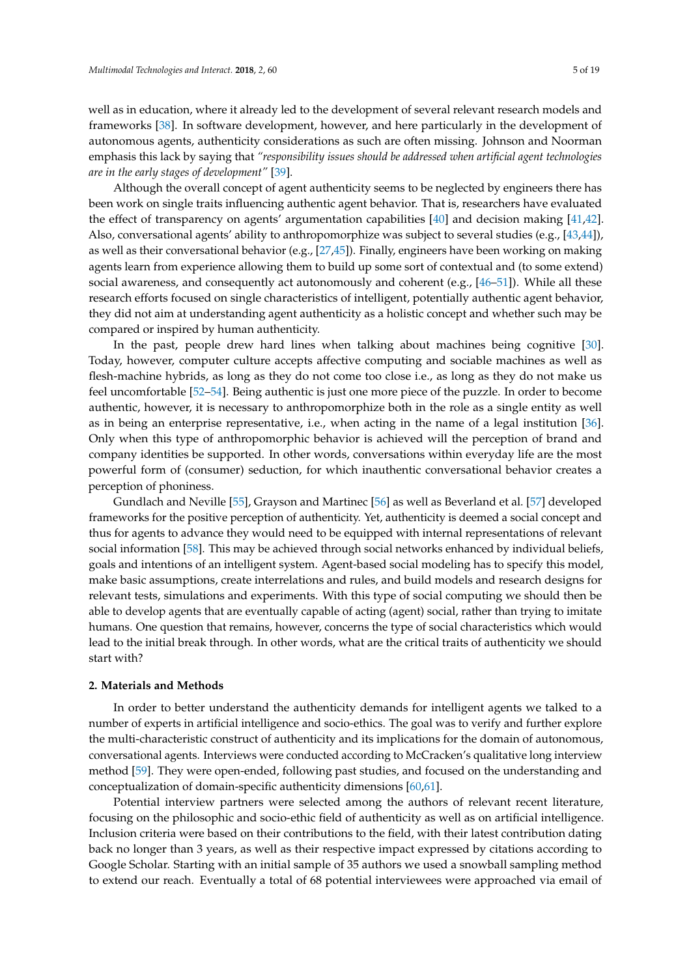well as in education, where it already led to the development of several relevant research models and frameworks [\[38\]](#page-16-11). In software development, however, and here particularly in the development of autonomous agents, authenticity considerations as such are often missing. Johnson and Noorman emphasis this lack by saying that *"responsibility issues should be addressed when artificial agent technologies are in the early stages of development"* [\[39\]](#page-16-12).

Although the overall concept of agent authenticity seems to be neglected by engineers there has been work on single traits influencing authentic agent behavior. That is, researchers have evaluated the effect of transparency on agents' argumentation capabilities [\[40\]](#page-16-13) and decision making [\[41,](#page-16-14)[42\]](#page-16-15). Also, conversational agents' ability to anthropomorphize was subject to several studies (e.g., [\[43](#page-16-16)[,44\]](#page-16-17)), as well as their conversational behavior (e.g., [\[27,](#page-16-0)[45\]](#page-16-18)). Finally, engineers have been working on making agents learn from experience allowing them to build up some sort of contextual and (to some extend) social awareness, and consequently act autonomously and coherent (e.g.,  $[46-51]$  $[46-51]$ ). While all these research efforts focused on single characteristics of intelligent, potentially authentic agent behavior, they did not aim at understanding agent authenticity as a holistic concept and whether such may be compared or inspired by human authenticity.

In the past, people drew hard lines when talking about machines being cognitive [\[30\]](#page-16-3). Today, however, computer culture accepts affective computing and sociable machines as well as flesh-machine hybrids, as long as they do not come too close i.e., as long as they do not make us feel uncomfortable [\[52](#page-17-1)[–54\]](#page-17-2). Being authentic is just one more piece of the puzzle. In order to become authentic, however, it is necessary to anthropomorphize both in the role as a single entity as well as in being an enterprise representative, i.e., when acting in the name of a legal institution [\[36\]](#page-16-9). Only when this type of anthropomorphic behavior is achieved will the perception of brand and company identities be supported. In other words, conversations within everyday life are the most powerful form of (consumer) seduction, for which inauthentic conversational behavior creates a perception of phoniness.

Gundlach and Neville [\[55\]](#page-17-3), Grayson and Martinec [\[56\]](#page-17-4) as well as Beverland et al. [\[57\]](#page-17-5) developed frameworks for the positive perception of authenticity. Yet, authenticity is deemed a social concept and thus for agents to advance they would need to be equipped with internal representations of relevant social information [\[58\]](#page-17-6). This may be achieved through social networks enhanced by individual beliefs, goals and intentions of an intelligent system. Agent-based social modeling has to specify this model, make basic assumptions, create interrelations and rules, and build models and research designs for relevant tests, simulations and experiments. With this type of social computing we should then be able to develop agents that are eventually capable of acting (agent) social, rather than trying to imitate humans. One question that remains, however, concerns the type of social characteristics which would lead to the initial break through. In other words, what are the critical traits of authenticity we should start with?

#### **2. Materials and Methods**

In order to better understand the authenticity demands for intelligent agents we talked to a number of experts in artificial intelligence and socio-ethics. The goal was to verify and further explore the multi-characteristic construct of authenticity and its implications for the domain of autonomous, conversational agents. Interviews were conducted according to McCracken's qualitative long interview method [\[59\]](#page-17-7). They were open-ended, following past studies, and focused on the understanding and conceptualization of domain-specific authenticity dimensions [\[60,](#page-17-8)[61\]](#page-17-9).

Potential interview partners were selected among the authors of relevant recent literature, focusing on the philosophic and socio-ethic field of authenticity as well as on artificial intelligence. Inclusion criteria were based on their contributions to the field, with their latest contribution dating back no longer than 3 years, as well as their respective impact expressed by citations according to Google Scholar. Starting with an initial sample of 35 authors we used a snowball sampling method to extend our reach. Eventually a total of 68 potential interviewees were approached via email of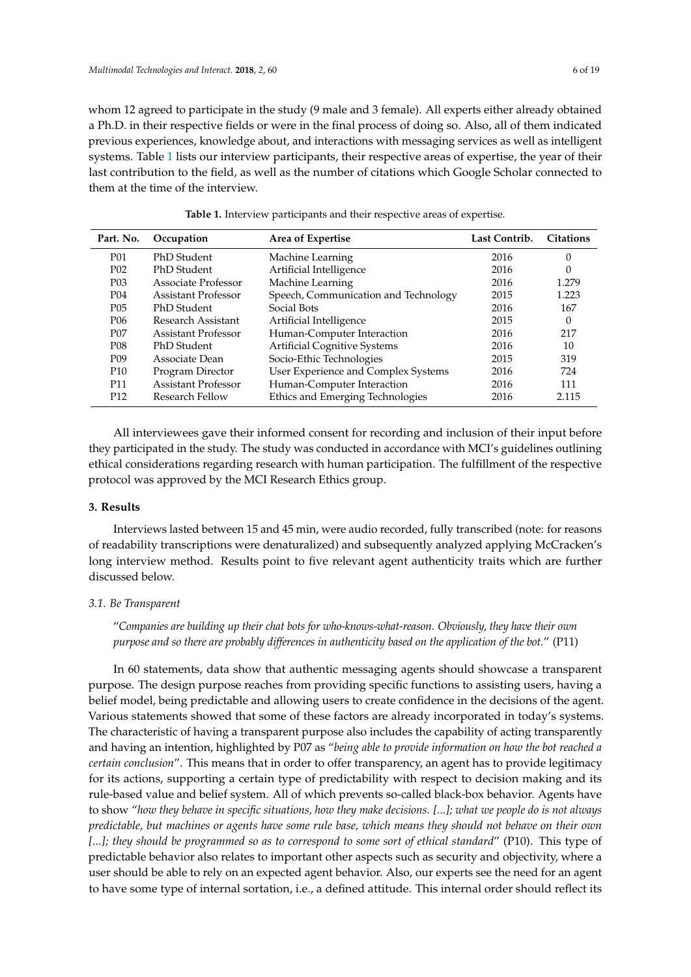whom 12 agreed to participate in the study (9 male and 3 female). All experts either already obtained a Ph.D. in their respective fields or were in the final process of doing so. Also, all of them indicated previous experiences, knowledge about, and interactions with messaging services as well as intelligent systems. Table [1](#page-5-0) lists our interview participants, their respective areas of expertise, the year of their last contribution to the field, as well as the number of citations which Google Scholar connected to them at the time of the interview.

<span id="page-5-0"></span>

| Part. No.        | Occupation                 | Area of Expertise                    | Last Contrib. | <b>Citations</b> |
|------------------|----------------------------|--------------------------------------|---------------|------------------|
| P01              | PhD Student                | Machine Learning                     | 2016          | 0                |
| P <sub>0</sub> 2 | PhD Student                | Artificial Intelligence              | 2016          | 0                |
| P <sub>0</sub> 3 | Associate Professor        | Machine Learning                     | 2016          | 1.279            |
| P04              | <b>Assistant Professor</b> | Speech, Communication and Technology | 2015          | 1.223            |
| P <sub>05</sub>  | PhD Student                | Social Bots                          | 2016          | 167              |
| P <sub>06</sub>  | Research Assistant         | Artificial Intelligence              | 2015          | 0                |
| P <sub>07</sub>  | <b>Assistant Professor</b> | Human-Computer Interaction           | 2016          | 217              |
| P <sub>08</sub>  | PhD Student                | <b>Artificial Cognitive Systems</b>  | 2016          | 10               |
| P <sub>09</sub>  | Associate Dean             | Socio-Ethic Technologies             | 2015          | 319              |
| P <sub>10</sub>  | Program Director           | User Experience and Complex Systems  | 2016          | 724              |
| P11              | Assistant Professor        | Human-Computer Interaction           | 2016          | 111              |
| P <sub>12</sub>  | Research Fellow            | Ethics and Emerging Technologies     | 2016          | 2.115            |

**Table 1.** Interview participants and their respective areas of expertise.

All interviewees gave their informed consent for recording and inclusion of their input before they participated in the study. The study was conducted in accordance with MCI's guidelines outlining ethical considerations regarding research with human participation. The fulfillment of the respective protocol was approved by the MCI Research Ethics group.

## **3. Results**

Interviews lasted between 15 and 45 min, were audio recorded, fully transcribed (note: for reasons of readability transcriptions were denaturalized) and subsequently analyzed applying McCracken's long interview method. Results point to five relevant agent authenticity traits which are further discussed below.

#### *3.1. Be Transparent*

"*Companies are building up their chat bots for who-knows-what-reason. Obviously, they have their own purpose and so there are probably differences in authenticity based on the application of the bot.*" (P11)

In 60 statements, data show that authentic messaging agents should showcase a transparent purpose. The design purpose reaches from providing specific functions to assisting users, having a belief model, being predictable and allowing users to create confidence in the decisions of the agent. Various statements showed that some of these factors are already incorporated in today's systems. The characteristic of having a transparent purpose also includes the capability of acting transparently and having an intention, highlighted by P07 as "*being able to provide information on how the bot reached a certain conclusion*". This means that in order to offer transparency, an agent has to provide legitimacy for its actions, supporting a certain type of predictability with respect to decision making and its rule-based value and belief system. All of which prevents so-called black-box behavior. Agents have to show "*how they behave in specific situations, how they make decisions. [...]; what we people do is not always predictable, but machines or agents have some rule base, which means they should not behave on their own [...]; they should be programmed so as to correspond to some sort of ethical standard*" (P10). This type of predictable behavior also relates to important other aspects such as security and objectivity, where a user should be able to rely on an expected agent behavior. Also, our experts see the need for an agent to have some type of internal sortation, i.e., a defined attitude. This internal order should reflect its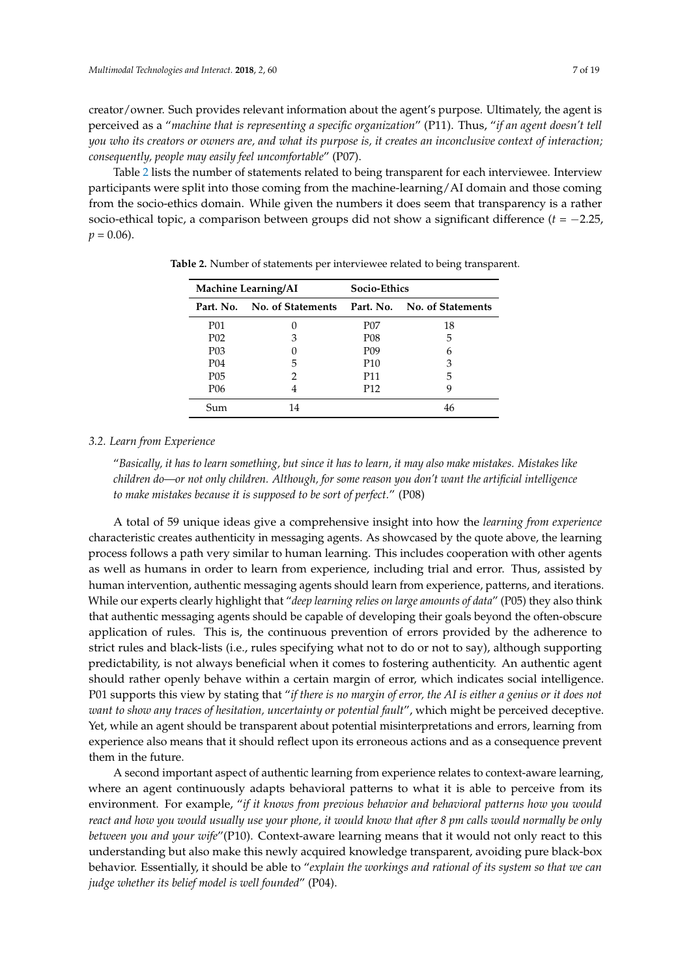creator/owner. Such provides relevant information about the agent's purpose. Ultimately, the agent is perceived as a "*machine that is representing a specific organization*" (P11). Thus, "*if an agent doesn't tell you who its creators or owners are, and what its purpose is, it creates an inconclusive context of interaction; consequently, people may easily feel uncomfortable*" (P07).

Table [2](#page-6-0) lists the number of statements related to being transparent for each interviewee. Interview participants were split into those coming from the machine-learning/AI domain and those coming from the socio-ethics domain. While given the numbers it does seem that transparency is a rather socio-ethical topic, a comparison between groups did not show a significant difference (*t* = −2.25,  $p = 0.06$ .

| <b>Machine Learning/AI</b> |                                                         | <b>Socio-Ethics</b> |    |  |
|----------------------------|---------------------------------------------------------|---------------------|----|--|
|                            | Part. No. No. of Statements Part. No. No. of Statements |                     |    |  |
| P01                        |                                                         | P07                 | 18 |  |
| P <sub>0</sub> 2           | З                                                       | P <sub>08</sub>     | 5  |  |
| P <sub>0</sub> 3           |                                                         | P <sub>09</sub>     | 6  |  |
| P <sub>04</sub>            | 5                                                       | P <sub>10</sub>     | 3  |  |
| P <sub>05</sub>            | 2                                                       | P11                 | 5  |  |
| P <sub>06</sub>            |                                                         | P <sub>12</sub>     | 9  |  |
| Sum                        | 14                                                      |                     | 46 |  |

<span id="page-6-0"></span>**Table 2.** Number of statements per interviewee related to being transparent.

#### *3.2. Learn from Experience*

"*Basically, it has to learn something, but since it has to learn, it may also make mistakes. Mistakes like children do—or not only children. Although, for some reason you don't want the artificial intelligence to make mistakes because it is supposed to be sort of perfect.*" (P08)

A total of 59 unique ideas give a comprehensive insight into how the *learning from experience* characteristic creates authenticity in messaging agents. As showcased by the quote above, the learning process follows a path very similar to human learning. This includes cooperation with other agents as well as humans in order to learn from experience, including trial and error. Thus, assisted by human intervention, authentic messaging agents should learn from experience, patterns, and iterations. While our experts clearly highlight that "*deep learning relies on large amounts of data*" (P05) they also think that authentic messaging agents should be capable of developing their goals beyond the often-obscure application of rules. This is, the continuous prevention of errors provided by the adherence to strict rules and black-lists (i.e., rules specifying what not to do or not to say), although supporting predictability, is not always beneficial when it comes to fostering authenticity. An authentic agent should rather openly behave within a certain margin of error, which indicates social intelligence. P01 supports this view by stating that "*if there is no margin of error, the AI is either a genius or it does not want to show any traces of hesitation, uncertainty or potential fault*", which might be perceived deceptive. Yet, while an agent should be transparent about potential misinterpretations and errors, learning from experience also means that it should reflect upon its erroneous actions and as a consequence prevent them in the future.

A second important aspect of authentic learning from experience relates to context-aware learning, where an agent continuously adapts behavioral patterns to what it is able to perceive from its environment. For example, "*if it knows from previous behavior and behavioral patterns how you would react and how you would usually use your phone, it would know that after 8 pm calls would normally be only between you and your wife*"(P10). Context-aware learning means that it would not only react to this understanding but also make this newly acquired knowledge transparent, avoiding pure black-box behavior. Essentially, it should be able to "*explain the workings and rational of its system so that we can judge whether its belief model is well founded*" (P04).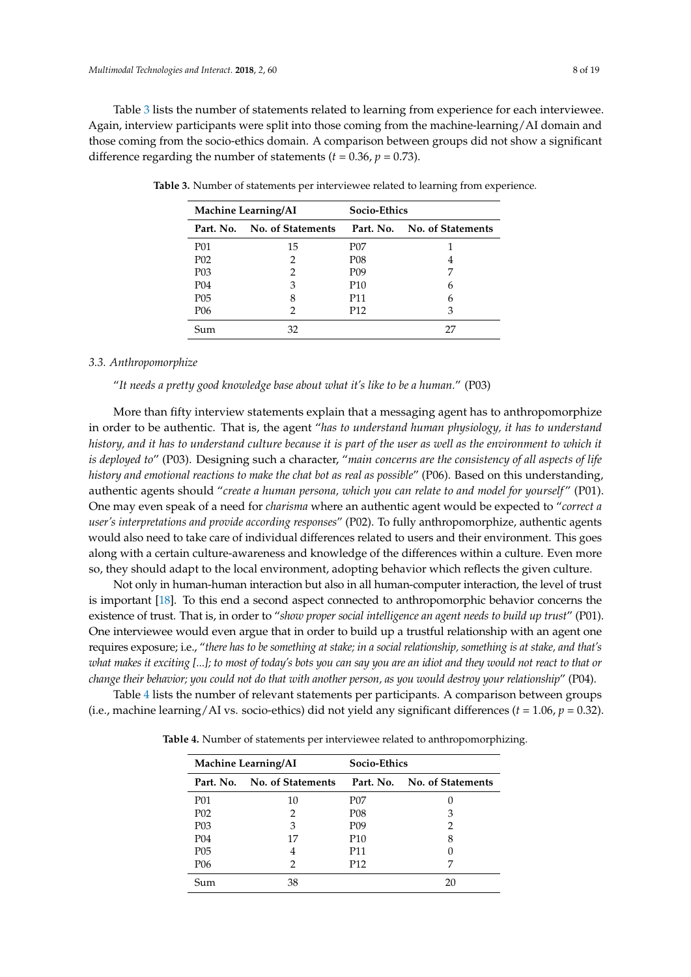Table [3](#page-7-0) lists the number of statements related to learning from experience for each interviewee. Again, interview participants were split into those coming from the machine-learning/AI domain and those coming from the socio-ethics domain. A comparison between groups did not show a significant difference regarding the number of statements  $(t = 0.36, p = 0.73)$ .

| <b>Machine Learning/AI</b> |                             | <b>Socio-Ethics</b> |                             |  |
|----------------------------|-----------------------------|---------------------|-----------------------------|--|
|                            | Part. No. No. of Statements |                     | Part. No. No. of Statements |  |
| P01                        | 15                          | P07                 |                             |  |
| P <sub>0</sub> 2           | 2                           | P <sub>08</sub>     | 4                           |  |
| P <sub>0</sub> 3           | 2                           | P <sub>09</sub>     | 7                           |  |
| P <sub>04</sub>            | 3                           | P <sub>10</sub>     | 6                           |  |
| P05                        | 8                           | P11                 | 6                           |  |
| P06                        |                             | P12                 | З                           |  |
| Sum                        |                             |                     | 27                          |  |

<span id="page-7-0"></span>**Table 3.** Number of statements per interviewee related to learning from experience.

#### *3.3. Anthropomorphize*

"*It needs a pretty good knowledge base about what it's like to be a human.*" (P03)

More than fifty interview statements explain that a messaging agent has to anthropomorphize in order to be authentic. That is, the agent "*has to understand human physiology, it has to understand history, and it has to understand culture because it is part of the user as well as the environment to which it is deployed to*" (P03). Designing such a character, "*main concerns are the consistency of all aspects of life history and emotional reactions to make the chat bot as real as possible*" (P06). Based on this understanding, authentic agents should "*create a human persona, which you can relate to and model for yourself* " (P01). One may even speak of a need for *charisma* where an authentic agent would be expected to "*correct a user's interpretations and provide according responses*" (P02). To fully anthropomorphize, authentic agents would also need to take care of individual differences related to users and their environment. This goes along with a certain culture-awareness and knowledge of the differences within a culture. Even more so, they should adapt to the local environment, adopting behavior which reflects the given culture.

Not only in human-human interaction but also in all human-computer interaction, the level of trust is important [\[18\]](#page-15-17). To this end a second aspect connected to anthropomorphic behavior concerns the existence of trust. That is, in order to "*show proper social intelligence an agent needs to build up trust*" (P01). One interviewee would even argue that in order to build up a trustful relationship with an agent one requires exposure; i.e., "*there has to be something at stake; in a social relationship, something is at stake, and that's what makes it exciting [...]; to most of today's bots you can say you are an idiot and they would not react to that or change their behavior; you could not do that with another person, as you would destroy your relationship*" (P04).

<span id="page-7-1"></span>Table [4](#page-7-1) lists the number of relevant statements per participants. A comparison between groups (i.e., machine learning/AI vs. socio-ethics) did not yield any significant differences (*t* = 1.06, *p* = 0.32).

**Table 4.** Number of statements per interviewee related to anthropomorphizing.

| <b>Machine Learning/AI</b> |                             | <b>Socio-Ethics</b> |                             |  |
|----------------------------|-----------------------------|---------------------|-----------------------------|--|
|                            | Part. No. No. of Statements |                     | Part. No. No. of Statements |  |
| <b>P01</b>                 | 10                          | P07                 |                             |  |
| P <sub>0</sub> 2           | 2                           | P08                 | 3                           |  |
| P <sub>0</sub> 3           | 3                           | P <sub>09</sub>     | 2                           |  |
| P <sub>04</sub>            | 17                          | P <sub>10</sub>     | 8                           |  |
| P <sub>05</sub>            | 4                           | P11                 |                             |  |
| P06                        | 2                           | P <sub>12</sub>     | 7                           |  |
| Sum                        | 38                          |                     | 20                          |  |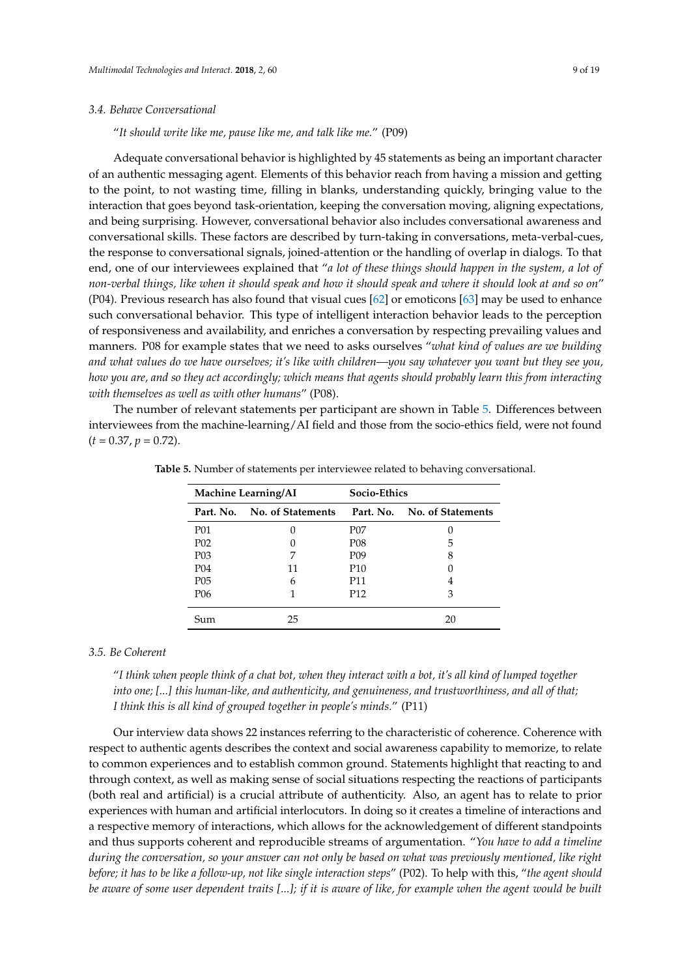#### *3.4. Behave Conversational*

"*It should write like me, pause like me, and talk like me.*" (P09)

Adequate conversational behavior is highlighted by 45 statements as being an important character of an authentic messaging agent. Elements of this behavior reach from having a mission and getting to the point, to not wasting time, filling in blanks, understanding quickly, bringing value to the interaction that goes beyond task-orientation, keeping the conversation moving, aligning expectations, and being surprising. However, conversational behavior also includes conversational awareness and conversational skills. These factors are described by turn-taking in conversations, meta-verbal-cues, the response to conversational signals, joined-attention or the handling of overlap in dialogs. To that end, one of our interviewees explained that "*a lot of these things should happen in the system, a lot of non-verbal things, like when it should speak and how it should speak and where it should look at and so on*" (P04). Previous research has also found that visual cues [\[62\]](#page-17-10) or emoticons [\[63\]](#page-17-11) may be used to enhance such conversational behavior. This type of intelligent interaction behavior leads to the perception of responsiveness and availability, and enriches a conversation by respecting prevailing values and manners. P08 for example states that we need to asks ourselves "*what kind of values are we building and what values do we have ourselves; it's like with children—you say whatever you want but they see you, how you are, and so they act accordingly; which means that agents should probably learn this from interacting with themselves as well as with other humans*" (P08).

<span id="page-8-0"></span>The number of relevant statements per participant are shown in Table [5.](#page-8-0) Differences between interviewees from the machine-learning/AI field and those from the socio-ethics field, were not found  $(t = 0.37, p = 0.72).$ 

| <b>Machine Learning/AI</b> |                   | <b>Socio-Ethics</b> |                   |  |
|----------------------------|-------------------|---------------------|-------------------|--|
| Part. No.                  | No. of Statements | Part. No.           | No. of Statements |  |
| <b>P01</b>                 | 0                 | P07                 |                   |  |
| P <sub>02</sub>            | $\theta$          | P <sub>08</sub>     | 5                 |  |
| P <sub>03</sub>            | 7                 | P <sub>09</sub>     | 8                 |  |
| P <sub>04</sub>            | 11                | P <sub>10</sub>     |                   |  |
| P <sub>05</sub>            | 6                 | P11                 | 4                 |  |
| P <sub>06</sub>            |                   | P <sub>12</sub>     | 3                 |  |
| Sum                        | 25                |                     | 20                |  |

**Table 5.** Number of statements per interviewee related to behaving conversational.

# *3.5. Be Coherent*

"*I think when people think of a chat bot, when they interact with a bot, it's all kind of lumped together into one; [...] this human-like, and authenticity, and genuineness, and trustworthiness, and all of that; I think this is all kind of grouped together in people's minds.*" (P11)

Our interview data shows 22 instances referring to the characteristic of coherence. Coherence with respect to authentic agents describes the context and social awareness capability to memorize, to relate to common experiences and to establish common ground. Statements highlight that reacting to and through context, as well as making sense of social situations respecting the reactions of participants (both real and artificial) is a crucial attribute of authenticity. Also, an agent has to relate to prior experiences with human and artificial interlocutors. In doing so it creates a timeline of interactions and a respective memory of interactions, which allows for the acknowledgement of different standpoints and thus supports coherent and reproducible streams of argumentation. "*You have to add a timeline during the conversation, so your answer can not only be based on what was previously mentioned, like right before; it has to be like a follow-up, not like single interaction steps*" (P02). To help with this, "*the agent should be aware of some user dependent traits [...]; if it is aware of like, for example when the agent would be built*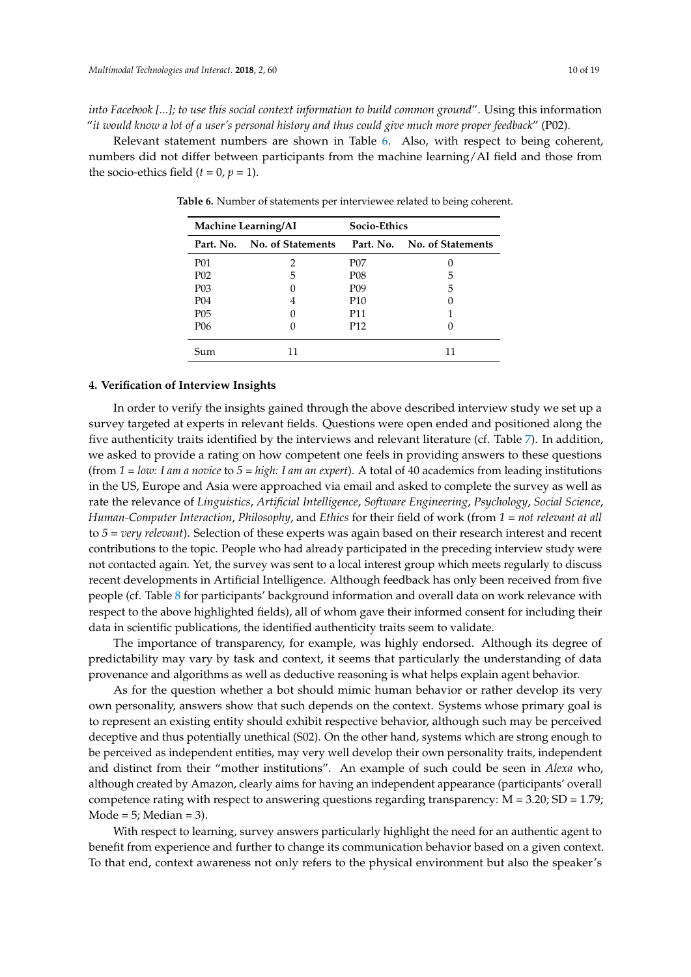*into Facebook [...]; to use this social context information to build common ground*". Using this information "*it would know a lot of a user's personal history and thus could give much more proper feedback*" (P02).

<span id="page-9-0"></span>Relevant statement numbers are shown in Table [6.](#page-9-0) Also, with respect to being coherent, numbers did not differ between participants from the machine learning/AI field and those from the socio-ethics field  $(t = 0, p = 1)$ .

| <b>Machine Learning/AI</b> |                             | <b>Socio-Ethics</b> |                   |  |
|----------------------------|-----------------------------|---------------------|-------------------|--|
|                            | Part. No. No. of Statements | Part. No.           | No. of Statements |  |
| P01                        | 2                           | P07                 |                   |  |
| P <sub>0</sub> 2           | 5                           | P <sub>08</sub>     | 5                 |  |
| P <sub>0</sub> 3           |                             | P <sub>09</sub>     | 5                 |  |
| P <sub>04</sub>            | 4                           | P <sub>10</sub>     |                   |  |
| P <sub>0</sub> 5           | $\mathbf{0}$                | P11                 |                   |  |
| P06                        |                             | P <sub>12</sub>     |                   |  |
| ium                        |                             |                     |                   |  |

**Table 6.** Number of statements per interviewee related to being coherent.

## **4. Verification of Interview Insights**

In order to verify the insights gained through the above described interview study we set up a survey targeted at experts in relevant fields. Questions were open ended and positioned along the five authenticity traits identified by the interviews and relevant literature (cf. Table [7\)](#page-10-0). In addition, we asked to provide a rating on how competent one feels in providing answers to these questions (from *1 = low: I am a novice* to *5 = high: I am an expert*). A total of 40 academics from leading institutions in the US, Europe and Asia were approached via email and asked to complete the survey as well as rate the relevance of *Linguistics*, *Artificial Intelligence*, *Software Engineering*, *Psychology*, *Social Science*, *Human-Computer Interaction*, *Philosophy*, and *Ethics* for their field of work (from *1 = not relevant at all* to *5 = very relevant*). Selection of these experts was again based on their research interest and recent contributions to the topic. People who had already participated in the preceding interview study were not contacted again. Yet, the survey was sent to a local interest group which meets regularly to discuss recent developments in Artificial Intelligence. Although feedback has only been received from five people (cf. Table [8](#page-10-1) for participants' background information and overall data on work relevance with respect to the above highlighted fields), all of whom gave their informed consent for including their data in scientific publications, the identified authenticity traits seem to validate.

The importance of transparency, for example, was highly endorsed. Although its degree of predictability may vary by task and context, it seems that particularly the understanding of data provenance and algorithms as well as deductive reasoning is what helps explain agent behavior.

As for the question whether a bot should mimic human behavior or rather develop its very own personality, answers show that such depends on the context. Systems whose primary goal is to represent an existing entity should exhibit respective behavior, although such may be perceived deceptive and thus potentially unethical (S02). On the other hand, systems which are strong enough to be perceived as independent entities, may very well develop their own personality traits, independent and distinct from their "mother institutions". An example of such could be seen in *Alexa* who, although created by Amazon, clearly aims for having an independent appearance (participants' overall competence rating with respect to answering questions regarding transparency:  $M = 3.20$ ;  $SD = 1.79$ ; Mode =  $5$ ; Median =  $3$ ).

With respect to learning, survey answers particularly highlight the need for an authentic agent to benefit from experience and further to change its communication behavior based on a given context. To that end, context awareness not only refers to the physical environment but also the speaker's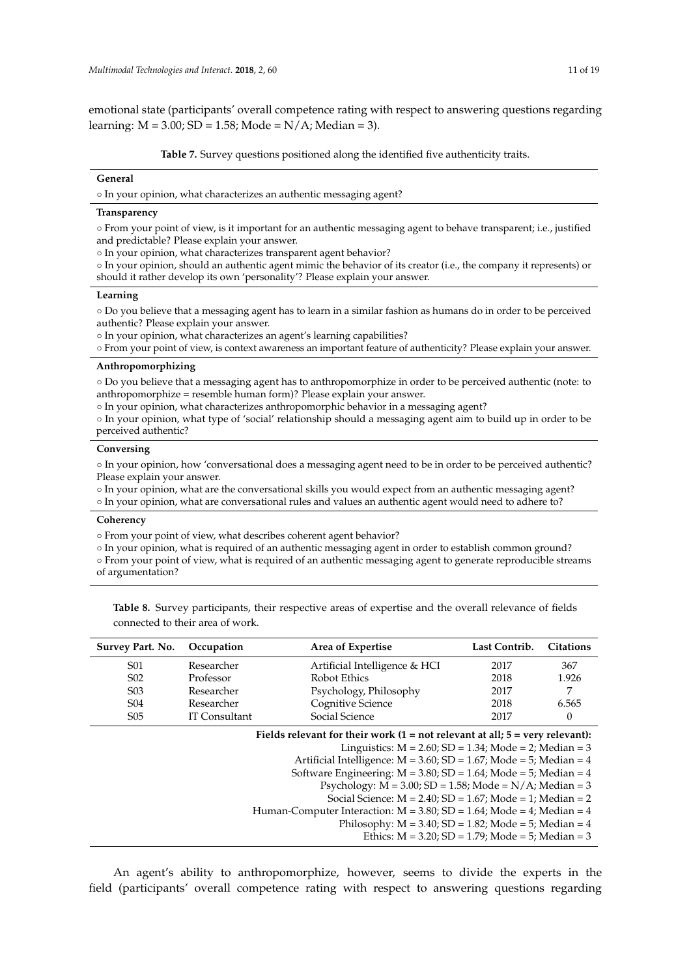emotional state (participants' overall competence rating with respect to answering questions regarding learning:  $M = 3.00$ ;  $SD = 1.58$ ; Mode = N/A; Median = 3).

**Table 7.** Survey questions positioned along the identified five authenticity traits.

#### <span id="page-10-0"></span>**General**

◦ In your opinion, what characterizes an authentic messaging agent?

#### **Transparency**

◦ From your point of view, is it important for an authentic messaging agent to behave transparent; i.e., justified and predictable? Please explain your answer.

◦ In your opinion, what characterizes transparent agent behavior?

◦ In your opinion, should an authentic agent mimic the behavior of its creator (i.e., the company it represents) or should it rather develop its own 'personality'? Please explain your answer.

#### **Learning**

◦ Do you believe that a messaging agent has to learn in a similar fashion as humans do in order to be perceived authentic? Please explain your answer.

◦ In your opinion, what characterizes an agent's learning capabilities?

◦ From your point of view, is context awareness an important feature of authenticity? Please explain your answer.

#### **Anthropomorphizing**

◦ Do you believe that a messaging agent has to anthropomorphize in order to be perceived authentic (note: to anthropomorphize = resemble human form)? Please explain your answer.

◦ In your opinion, what characterizes anthropomorphic behavior in a messaging agent?

◦ In your opinion, what type of 'social' relationship should a messaging agent aim to build up in order to be perceived authentic?

#### **Conversing**

◦ In your opinion, how 'conversational does a messaging agent need to be in order to be perceived authentic? Please explain your answer.

- In your opinion, what are the conversational skills you would expect from an authentic messaging agent?
- In your opinion, what are conversational rules and values an authentic agent would need to adhere to?

# **Coherency**

◦ From your point of view, what describes coherent agent behavior?

◦ In your opinion, what is required of an authentic messaging agent in order to establish common ground?

◦ From your point of view, what is required of an authentic messaging agent to generate reproducible streams of argumentation?

<span id="page-10-1"></span>**Table 8.** Survey participants, their respective areas of expertise and the overall relevance of fields connected to their area of work.

| Survey Part. No.                                                                                                                                                                                                                                                                                                                                                                                                                                                                                                                                                                                                                                  | Occupation           | Area of Expertise             | Last Contrib. | <b>Citations</b> |
|---------------------------------------------------------------------------------------------------------------------------------------------------------------------------------------------------------------------------------------------------------------------------------------------------------------------------------------------------------------------------------------------------------------------------------------------------------------------------------------------------------------------------------------------------------------------------------------------------------------------------------------------------|----------------------|-------------------------------|---------------|------------------|
| S01                                                                                                                                                                                                                                                                                                                                                                                                                                                                                                                                                                                                                                               | Researcher           | Artificial Intelligence & HCI | 2017          | 367              |
| S <sub>0</sub> 2                                                                                                                                                                                                                                                                                                                                                                                                                                                                                                                                                                                                                                  | Professor            | Robot Ethics                  | 2018          | 1.926            |
| S <sub>0</sub> 3                                                                                                                                                                                                                                                                                                                                                                                                                                                                                                                                                                                                                                  | Researcher           | Psychology, Philosophy        | 2017          | 7                |
| S <sub>04</sub>                                                                                                                                                                                                                                                                                                                                                                                                                                                                                                                                                                                                                                   | Researcher           | Cognitive Science             | 2018          | 6.565            |
| S <sub>05</sub>                                                                                                                                                                                                                                                                                                                                                                                                                                                                                                                                                                                                                                   | <b>IT Consultant</b> | Social Science                | 2017          | $\theta$         |
| Fields relevant for their work $(1 = not$ relevant at all; $5 = very$ relevant):<br>Linguistics: $M = 2.60$ ; $SD = 1.34$ ; Mode = 2; Median = 3<br>Artificial Intelligence: $M = 3.60$ ; $SD = 1.67$ ; Mode = 5; Median = 4<br>Software Engineering: $M = 3.80$ ; SD = 1.64; Mode = 5; Median = 4<br>Psychology: $M = 3.00$ ; $SD = 1.58$ ; Mode = N/A; Median = 3<br>Social Science: $M = 2.40$ : $SD = 1.67$ : Mode = 1: Median = 2<br>Human-Computer Interaction: $M = 3.80$ ; SD = 1.64; Mode = 4; Median = 4<br>Philosophy: $M = 3.40$ ; $SD = 1.82$ ; Mode = 5; Median = 4<br>Ethics: $M = 3.20$ ; $SD = 1.79$ ; $Mode = 5$ ; $Median = 3$ |                      |                               |               |                  |

An agent's ability to anthropomorphize, however, seems to divide the experts in the field (participants' overall competence rating with respect to answering questions regarding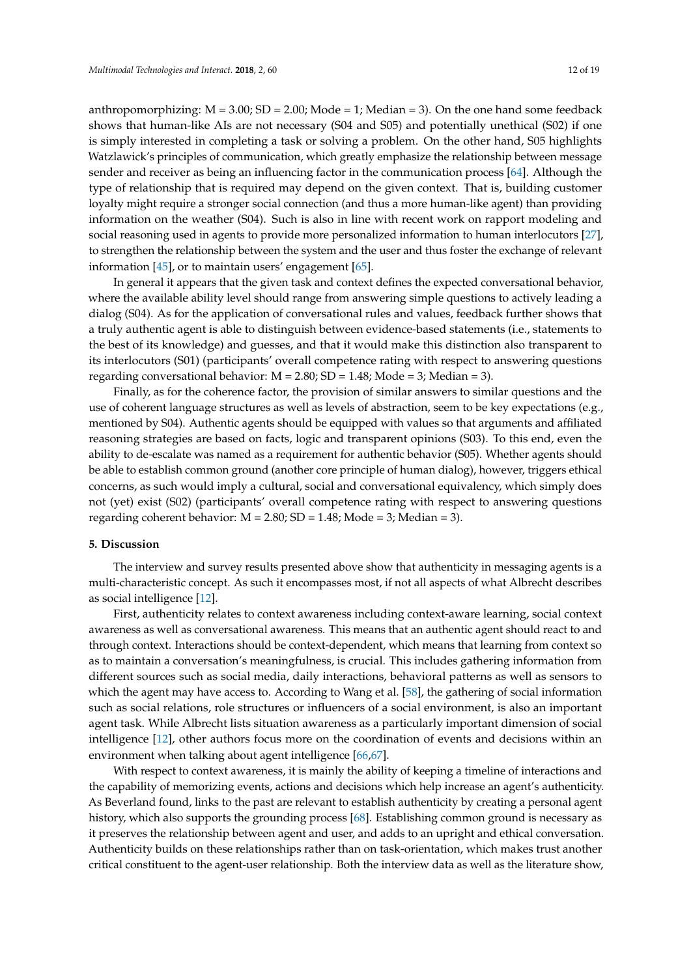anthropomorphizing:  $M = 3.00$ ;  $SD = 2.00$ ;  $Mode = 1$ ;  $Median = 3$ ). On the one hand some feedback shows that human-like AIs are not necessary (S04 and S05) and potentially unethical (S02) if one is simply interested in completing a task or solving a problem. On the other hand, S05 highlights Watzlawick's principles of communication, which greatly emphasize the relationship between message sender and receiver as being an influencing factor in the communication process [\[64\]](#page-17-12). Although the type of relationship that is required may depend on the given context. That is, building customer loyalty might require a stronger social connection (and thus a more human-like agent) than providing information on the weather (S04). Such is also in line with recent work on rapport modeling and social reasoning used in agents to provide more personalized information to human interlocutors [\[27\]](#page-16-0), to strengthen the relationship between the system and the user and thus foster the exchange of relevant information [\[45\]](#page-16-18), or to maintain users' engagement [\[65\]](#page-17-13).

In general it appears that the given task and context defines the expected conversational behavior, where the available ability level should range from answering simple questions to actively leading a dialog (S04). As for the application of conversational rules and values, feedback further shows that a truly authentic agent is able to distinguish between evidence-based statements (i.e., statements to the best of its knowledge) and guesses, and that it would make this distinction also transparent to its interlocutors (S01) (participants' overall competence rating with respect to answering questions regarding conversational behavior:  $M = 2.80$ ;  $SD = 1.48$ ; Mode = 3; Median = 3).

Finally, as for the coherence factor, the provision of similar answers to similar questions and the use of coherent language structures as well as levels of abstraction, seem to be key expectations (e.g., mentioned by S04). Authentic agents should be equipped with values so that arguments and affiliated reasoning strategies are based on facts, logic and transparent opinions (S03). To this end, even the ability to de-escalate was named as a requirement for authentic behavior (S05). Whether agents should be able to establish common ground (another core principle of human dialog), however, triggers ethical concerns, as such would imply a cultural, social and conversational equivalency, which simply does not (yet) exist (S02) (participants' overall competence rating with respect to answering questions regarding coherent behavior:  $M = 2.80$ ;  $SD = 1.48$ ;  $Mode = 3$ ;  $Median = 3$ ).

#### **5. Discussion**

The interview and survey results presented above show that authenticity in messaging agents is a multi-characteristic concept. As such it encompasses most, if not all aspects of what Albrecht describes as social intelligence [\[12\]](#page-15-11).

First, authenticity relates to context awareness including context-aware learning, social context awareness as well as conversational awareness. This means that an authentic agent should react to and through context. Interactions should be context-dependent, which means that learning from context so as to maintain a conversation's meaningfulness, is crucial. This includes gathering information from different sources such as social media, daily interactions, behavioral patterns as well as sensors to which the agent may have access to. According to Wang et al. [\[58\]](#page-17-6), the gathering of social information such as social relations, role structures or influencers of a social environment, is also an important agent task. While Albrecht lists situation awareness as a particularly important dimension of social intelligence [\[12\]](#page-15-11), other authors focus more on the coordination of events and decisions within an environment when talking about agent intelligence [\[66](#page-17-14)[,67\]](#page-17-15).

With respect to context awareness, it is mainly the ability of keeping a timeline of interactions and the capability of memorizing events, actions and decisions which help increase an agent's authenticity. As Beverland found, links to the past are relevant to establish authenticity by creating a personal agent history, which also supports the grounding process [\[68\]](#page-17-16). Establishing common ground is necessary as it preserves the relationship between agent and user, and adds to an upright and ethical conversation. Authenticity builds on these relationships rather than on task-orientation, which makes trust another critical constituent to the agent-user relationship. Both the interview data as well as the literature show,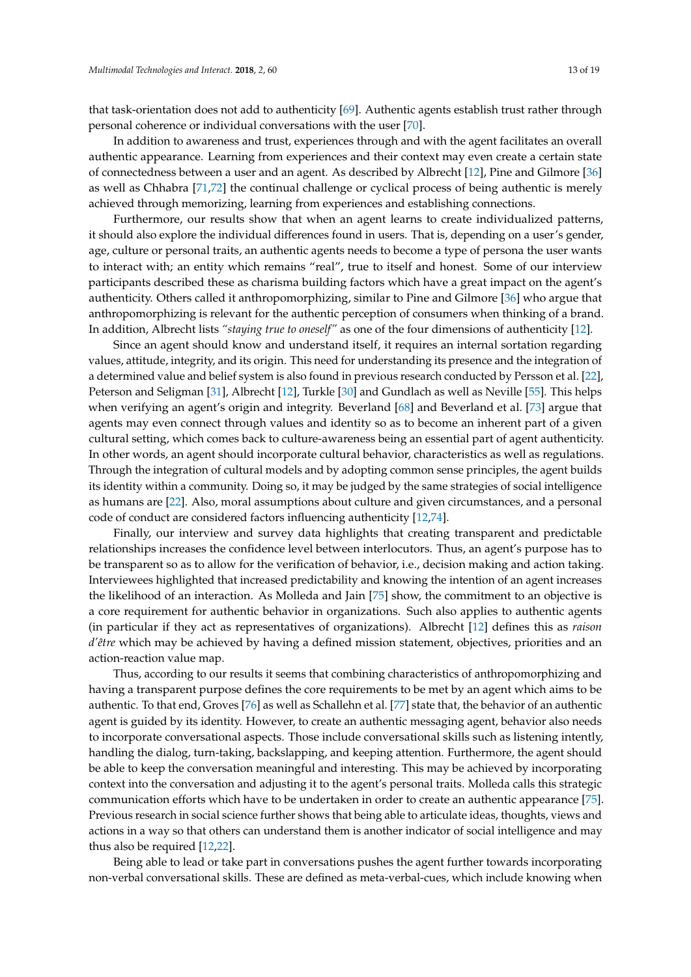that task-orientation does not add to authenticity [\[69\]](#page-17-17). Authentic agents establish trust rather through personal coherence or individual conversations with the user [\[70\]](#page-17-18).

In addition to awareness and trust, experiences through and with the agent facilitates an overall authentic appearance. Learning from experiences and their context may even create a certain state of connectedness between a user and an agent. As described by Albrecht [\[12\]](#page-15-11), Pine and Gilmore [\[36\]](#page-16-9) as well as Chhabra [\[71](#page-17-19)[,72\]](#page-17-20) the continual challenge or cyclical process of being authentic is merely achieved through memorizing, learning from experiences and establishing connections.

Furthermore, our results show that when an agent learns to create individualized patterns, it should also explore the individual differences found in users. That is, depending on a user's gender, age, culture or personal traits, an authentic agents needs to become a type of persona the user wants to interact with; an entity which remains "real", true to itself and honest. Some of our interview participants described these as charisma building factors which have a great impact on the agent's authenticity. Others called it anthropomorphizing, similar to Pine and Gilmore [\[36\]](#page-16-9) who argue that anthropomorphizing is relevant for the authentic perception of consumers when thinking of a brand. In addition, Albrecht lists *"staying true to oneself"* as one of the four dimensions of authenticity [\[12\]](#page-15-11).

Since an agent should know and understand itself, it requires an internal sortation regarding values, attitude, integrity, and its origin. This need for understanding its presence and the integration of a determined value and belief system is also found in previous research conducted by Persson et al. [\[22\]](#page-15-21), Peterson and Seligman [\[31\]](#page-16-4), Albrecht [\[12\]](#page-15-11), Turkle [\[30\]](#page-16-3) and Gundlach as well as Neville [\[55\]](#page-17-3). This helps when verifying an agent's origin and integrity. Beverland [\[68\]](#page-17-16) and Beverland et al. [\[73\]](#page-17-21) argue that agents may even connect through values and identity so as to become an inherent part of a given cultural setting, which comes back to culture-awareness being an essential part of agent authenticity. In other words, an agent should incorporate cultural behavior, characteristics as well as regulations. Through the integration of cultural models and by adopting common sense principles, the agent builds its identity within a community. Doing so, it may be judged by the same strategies of social intelligence as humans are [\[22\]](#page-15-21). Also, moral assumptions about culture and given circumstances, and a personal code of conduct are considered factors influencing authenticity [\[12](#page-15-11)[,74\]](#page-17-22).

Finally, our interview and survey data highlights that creating transparent and predictable relationships increases the confidence level between interlocutors. Thus, an agent's purpose has to be transparent so as to allow for the verification of behavior, i.e., decision making and action taking. Interviewees highlighted that increased predictability and knowing the intention of an agent increases the likelihood of an interaction. As Molleda and Jain [\[75\]](#page-17-23) show, the commitment to an objective is a core requirement for authentic behavior in organizations. Such also applies to authentic agents (in particular if they act as representatives of organizations). Albrecht [\[12\]](#page-15-11) defines this as *raison d'être* which may be achieved by having a defined mission statement, objectives, priorities and an action-reaction value map.

Thus, according to our results it seems that combining characteristics of anthropomorphizing and having a transparent purpose defines the core requirements to be met by an agent which aims to be authentic. To that end, Groves [\[76\]](#page-18-0) as well as Schallehn et al. [\[77\]](#page-18-1) state that, the behavior of an authentic agent is guided by its identity. However, to create an authentic messaging agent, behavior also needs to incorporate conversational aspects. Those include conversational skills such as listening intently, handling the dialog, turn-taking, backslapping, and keeping attention. Furthermore, the agent should be able to keep the conversation meaningful and interesting. This may be achieved by incorporating context into the conversation and adjusting it to the agent's personal traits. Molleda calls this strategic communication efforts which have to be undertaken in order to create an authentic appearance [\[75\]](#page-17-23). Previous research in social science further shows that being able to articulate ideas, thoughts, views and actions in a way so that others can understand them is another indicator of social intelligence and may thus also be required [\[12,](#page-15-11)[22\]](#page-15-21).

Being able to lead or take part in conversations pushes the agent further towards incorporating non-verbal conversational skills. These are defined as meta-verbal-cues, which include knowing when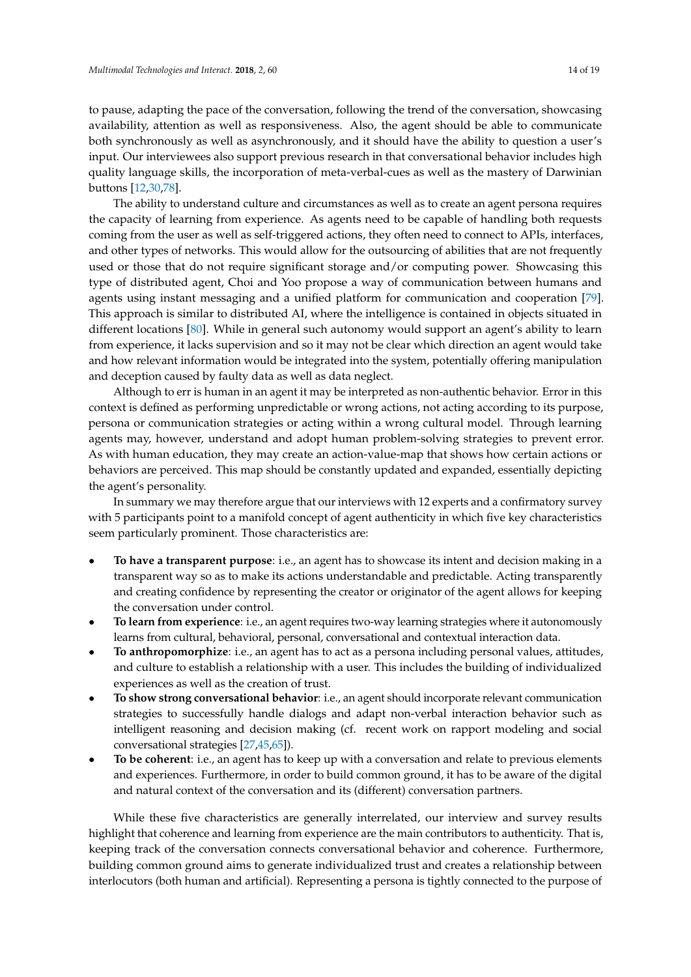to pause, adapting the pace of the conversation, following the trend of the conversation, showcasing availability, attention as well as responsiveness. Also, the agent should be able to communicate both synchronously as well as asynchronously, and it should have the ability to question a user's input. Our interviewees also support previous research in that conversational behavior includes high quality language skills, the incorporation of meta-verbal-cues as well as the mastery of Darwinian buttons [\[12](#page-15-11)[,30,](#page-16-3)[78\]](#page-18-2).

The ability to understand culture and circumstances as well as to create an agent persona requires the capacity of learning from experience. As agents need to be capable of handling both requests coming from the user as well as self-triggered actions, they often need to connect to APIs, interfaces, and other types of networks. This would allow for the outsourcing of abilities that are not frequently used or those that do not require significant storage and/or computing power. Showcasing this type of distributed agent, Choi and Yoo propose a way of communication between humans and agents using instant messaging and a unified platform for communication and cooperation [\[79\]](#page-18-3). This approach is similar to distributed AI, where the intelligence is contained in objects situated in different locations [\[80\]](#page-18-4). While in general such autonomy would support an agent's ability to learn from experience, it lacks supervision and so it may not be clear which direction an agent would take and how relevant information would be integrated into the system, potentially offering manipulation and deception caused by faulty data as well as data neglect.

Although to err is human in an agent it may be interpreted as non-authentic behavior. Error in this context is defined as performing unpredictable or wrong actions, not acting according to its purpose, persona or communication strategies or acting within a wrong cultural model. Through learning agents may, however, understand and adopt human problem-solving strategies to prevent error. As with human education, they may create an action-value-map that shows how certain actions or behaviors are perceived. This map should be constantly updated and expanded, essentially depicting the agent's personality.

In summary we may therefore argue that our interviews with 12 experts and a confirmatory survey with 5 participants point to a manifold concept of agent authenticity in which five key characteristics seem particularly prominent. Those characteristics are:

- **To have a transparent purpose**: i.e., an agent has to showcase its intent and decision making in a transparent way so as to make its actions understandable and predictable. Acting transparently and creating confidence by representing the creator or originator of the agent allows for keeping the conversation under control.
- **To learn from experience**: i.e., an agent requires two-way learning strategies where it autonomously learns from cultural, behavioral, personal, conversational and contextual interaction data.
- **To anthropomorphize**: i.e., an agent has to act as a persona including personal values, attitudes, and culture to establish a relationship with a user. This includes the building of individualized experiences as well as the creation of trust.
- **To show strong conversational behavior**: i.e., an agent should incorporate relevant communication strategies to successfully handle dialogs and adapt non-verbal interaction behavior such as intelligent reasoning and decision making (cf. recent work on rapport modeling and social conversational strategies [\[27](#page-16-0)[,45](#page-16-18)[,65\]](#page-17-13)).
- **To be coherent**: i.e., an agent has to keep up with a conversation and relate to previous elements and experiences. Furthermore, in order to build common ground, it has to be aware of the digital and natural context of the conversation and its (different) conversation partners.

While these five characteristics are generally interrelated, our interview and survey results highlight that coherence and learning from experience are the main contributors to authenticity. That is, keeping track of the conversation connects conversational behavior and coherence. Furthermore, building common ground aims to generate individualized trust and creates a relationship between interlocutors (both human and artificial). Representing a persona is tightly connected to the purpose of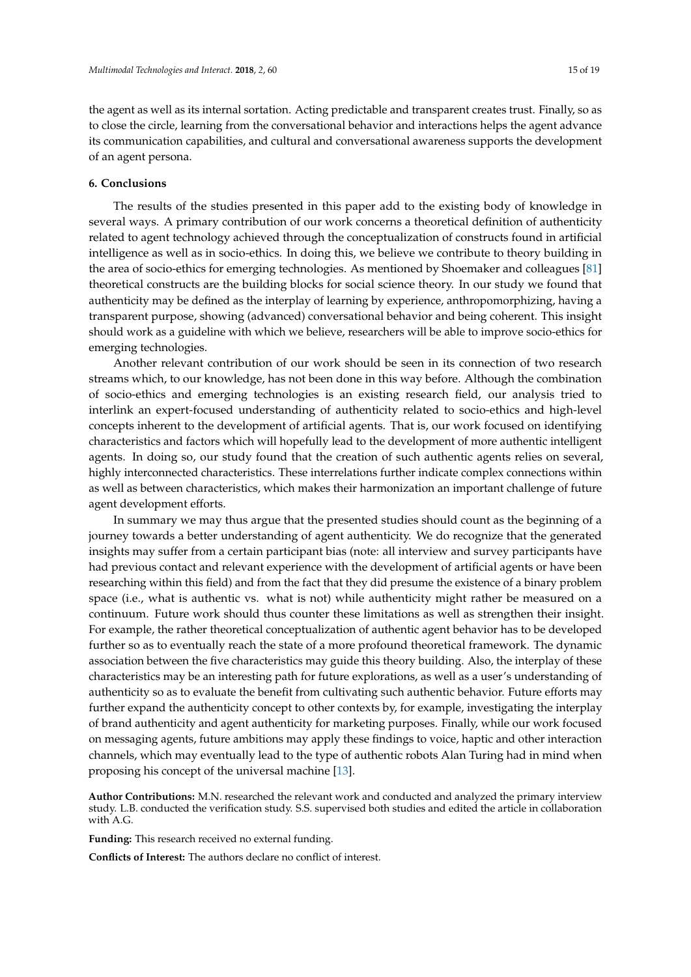the agent as well as its internal sortation. Acting predictable and transparent creates trust. Finally, so as to close the circle, learning from the conversational behavior and interactions helps the agent advance its communication capabilities, and cultural and conversational awareness supports the development of an agent persona.

# **6. Conclusions**

The results of the studies presented in this paper add to the existing body of knowledge in several ways. A primary contribution of our work concerns a theoretical definition of authenticity related to agent technology achieved through the conceptualization of constructs found in artificial intelligence as well as in socio-ethics. In doing this, we believe we contribute to theory building in the area of socio-ethics for emerging technologies. As mentioned by Shoemaker and colleagues [\[81\]](#page-18-5) theoretical constructs are the building blocks for social science theory. In our study we found that authenticity may be defined as the interplay of learning by experience, anthropomorphizing, having a transparent purpose, showing (advanced) conversational behavior and being coherent. This insight should work as a guideline with which we believe, researchers will be able to improve socio-ethics for emerging technologies.

Another relevant contribution of our work should be seen in its connection of two research streams which, to our knowledge, has not been done in this way before. Although the combination of socio-ethics and emerging technologies is an existing research field, our analysis tried to interlink an expert-focused understanding of authenticity related to socio-ethics and high-level concepts inherent to the development of artificial agents. That is, our work focused on identifying characteristics and factors which will hopefully lead to the development of more authentic intelligent agents. In doing so, our study found that the creation of such authentic agents relies on several, highly interconnected characteristics. These interrelations further indicate complex connections within as well as between characteristics, which makes their harmonization an important challenge of future agent development efforts.

In summary we may thus argue that the presented studies should count as the beginning of a journey towards a better understanding of agent authenticity. We do recognize that the generated insights may suffer from a certain participant bias (note: all interview and survey participants have had previous contact and relevant experience with the development of artificial agents or have been researching within this field) and from the fact that they did presume the existence of a binary problem space (i.e., what is authentic vs. what is not) while authenticity might rather be measured on a continuum. Future work should thus counter these limitations as well as strengthen their insight. For example, the rather theoretical conceptualization of authentic agent behavior has to be developed further so as to eventually reach the state of a more profound theoretical framework. The dynamic association between the five characteristics may guide this theory building. Also, the interplay of these characteristics may be an interesting path for future explorations, as well as a user's understanding of authenticity so as to evaluate the benefit from cultivating such authentic behavior. Future efforts may further expand the authenticity concept to other contexts by, for example, investigating the interplay of brand authenticity and agent authenticity for marketing purposes. Finally, while our work focused on messaging agents, future ambitions may apply these findings to voice, haptic and other interaction channels, which may eventually lead to the type of authentic robots Alan Turing had in mind when proposing his concept of the universal machine [\[13\]](#page-15-12).

**Author Contributions:** M.N. researched the relevant work and conducted and analyzed the primary interview study. L.B. conducted the verification study. S.S. supervised both studies and edited the article in collaboration with A.G.

**Funding:** This research received no external funding.

**Conflicts of Interest:** The authors declare no conflict of interest.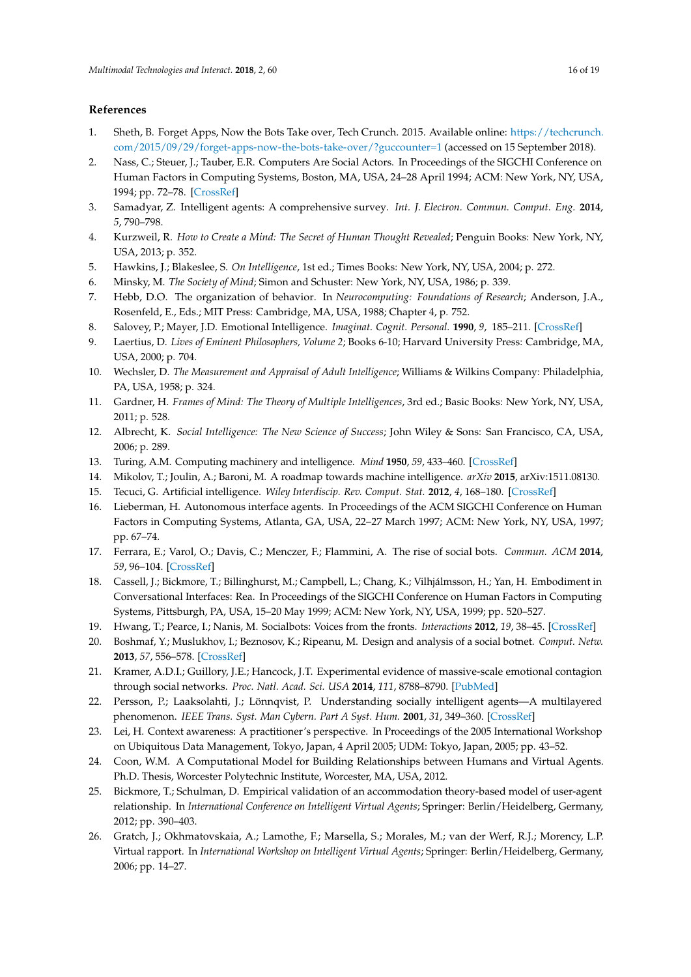# **References**

- <span id="page-15-0"></span>1. Sheth, B. Forget Apps, Now the Bots Take over, Tech Crunch. 2015. Available online: [https://techcrunch.](https://techcrunch.com/2015/09/29/forget-apps-now-the-bots-take-over/?guccounter=1) [com/2015/09/29/forget-apps-now-the-bots-take-over/?guccounter=1](https://techcrunch.com/2015/09/29/forget-apps-now-the-bots-take-over/?guccounter=1) (accessed on 15 September 2018).
- <span id="page-15-1"></span>2. Nass, C.; Steuer, J.; Tauber, E.R. Computers Are Social Actors. In Proceedings of the SIGCHI Conference on Human Factors in Computing Systems, Boston, MA, USA, 24–28 April 1994; ACM: New York, NY, USA, 1994; pp. 72–78. [\[CrossRef\]](http://dx.doi.org/10.1145/191666.191703)
- <span id="page-15-2"></span>3. Samadyar, Z. Intelligent agents: A comprehensive survey. *Int. J. Electron. Commun. Comput. Eng.* **2014**, *5*, 790–798.
- <span id="page-15-3"></span>4. Kurzweil, R. *How to Create a Mind: The Secret of Human Thought Revealed*; Penguin Books: New York, NY, USA, 2013; p. 352.
- <span id="page-15-4"></span>5. Hawkins, J.; Blakeslee, S. *On Intelligence*, 1st ed.; Times Books: New York, NY, USA, 2004; p. 272.
- <span id="page-15-5"></span>6. Minsky, M. *The Society of Mind*; Simon and Schuster: New York, NY, USA, 1986; p. 339.
- <span id="page-15-6"></span>7. Hebb, D.O. The organization of behavior. In *Neurocomputing: Foundations of Research*; Anderson, J.A., Rosenfeld, E., Eds.; MIT Press: Cambridge, MA, USA, 1988; Chapter 4, p. 752.
- <span id="page-15-7"></span>8. Salovey, P.; Mayer, J.D. Emotional Intelligence. *Imaginat. Cognit. Personal.* **1990**, *9*, 185–211. [\[CrossRef\]](http://dx.doi.org/10.2190/DUGG-P24E-52WK-6CDG)
- <span id="page-15-8"></span>9. Laertius, D. *Lives of Eminent Philosophers, Volume 2*; Books 6-10; Harvard University Press: Cambridge, MA, USA, 2000; p. 704.
- <span id="page-15-9"></span>10. Wechsler, D. *The Measurement and Appraisal of Adult Intelligence*; Williams & Wilkins Company: Philadelphia, PA, USA, 1958; p. 324.
- <span id="page-15-10"></span>11. Gardner, H. *Frames of Mind: The Theory of Multiple Intelligences*, 3rd ed.; Basic Books: New York, NY, USA, 2011; p. 528.
- <span id="page-15-11"></span>12. Albrecht, K. *Social Intelligence: The New Science of Success*; John Wiley & Sons: San Francisco, CA, USA, 2006; p. 289.
- <span id="page-15-12"></span>13. Turing, A.M. Computing machinery and intelligence. *Mind* **1950**, *59*, 433–460. [\[CrossRef\]](http://dx.doi.org/10.1093/mind/LIX.236.433)
- <span id="page-15-13"></span>14. Mikolov, T.; Joulin, A.; Baroni, M. A roadmap towards machine intelligence. *arXiv* **2015**, arXiv:1511.08130.
- <span id="page-15-14"></span>15. Tecuci, G. Artificial intelligence. *Wiley Interdiscip. Rev. Comput. Stat.* **2012**, *4*, 168–180. [\[CrossRef\]](http://dx.doi.org/10.1002/wics.200)
- <span id="page-15-15"></span>16. Lieberman, H. Autonomous interface agents. In Proceedings of the ACM SIGCHI Conference on Human Factors in Computing Systems, Atlanta, GA, USA, 22–27 March 1997; ACM: New York, NY, USA, 1997; pp. 67–74.
- <span id="page-15-16"></span>17. Ferrara, E.; Varol, O.; Davis, C.; Menczer, F.; Flammini, A. The rise of social bots. *Commun. ACM* **2014**, *59*, 96–104. [\[CrossRef\]](http://dx.doi.org/10.1145/2818717)
- <span id="page-15-17"></span>18. Cassell, J.; Bickmore, T.; Billinghurst, M.; Campbell, L.; Chang, K.; Vilhjálmsson, H.; Yan, H. Embodiment in Conversational Interfaces: Rea. In Proceedings of the SIGCHI Conference on Human Factors in Computing Systems, Pittsburgh, PA, USA, 15–20 May 1999; ACM: New York, NY, USA, 1999; pp. 520–527.
- <span id="page-15-18"></span>19. Hwang, T.; Pearce, I.; Nanis, M. Socialbots: Voices from the fronts. *Interactions* **2012**, *19*, 38–45. [\[CrossRef\]](http://dx.doi.org/10.1145/2090150.2090161)
- <span id="page-15-19"></span>20. Boshmaf, Y.; Muslukhov, I.; Beznosov, K.; Ripeanu, M. Design and analysis of a social botnet. *Comput. Netw.* **2013**, *57*, 556–578. [\[CrossRef\]](http://dx.doi.org/10.1016/j.comnet.2012.06.006)
- <span id="page-15-20"></span>21. Kramer, A.D.I.; Guillory, J.E.; Hancock, J.T. Experimental evidence of massive-scale emotional contagion through social networks. *Proc. Natl. Acad. Sci. USA* **2014**, *111*, 8788–8790. [\[PubMed\]](http://www.ncbi.nlm.nih.gov/pubmed/24889601)
- <span id="page-15-21"></span>22. Persson, P.; Laaksolahti, J.; Lönnqvist, P. Understanding socially intelligent agents—A multilayered phenomenon. *IEEE Trans. Syst. Man Cybern. Part A Syst. Hum.* **2001**, *31*, 349–360. [\[CrossRef\]](http://dx.doi.org/10.1109/3468.952710)
- <span id="page-15-22"></span>23. Lei, H. Context awareness: A practitioner's perspective. In Proceedings of the 2005 International Workshop on Ubiquitous Data Management, Tokyo, Japan, 4 April 2005; UDM: Tokyo, Japan, 2005; pp. 43–52.
- <span id="page-15-23"></span>24. Coon, W.M. A Computational Model for Building Relationships between Humans and Virtual Agents. Ph.D. Thesis, Worcester Polytechnic Institute, Worcester, MA, USA, 2012.
- <span id="page-15-24"></span>25. Bickmore, T.; Schulman, D. Empirical validation of an accommodation theory-based model of user-agent relationship. In *International Conference on Intelligent Virtual Agents*; Springer: Berlin/Heidelberg, Germany, 2012; pp. 390–403.
- <span id="page-15-25"></span>26. Gratch, J.; Okhmatovskaia, A.; Lamothe, F.; Marsella, S.; Morales, M.; van der Werf, R.J.; Morency, L.P. Virtual rapport. In *International Workshop on Intelligent Virtual Agents*; Springer: Berlin/Heidelberg, Germany, 2006; pp. 14–27.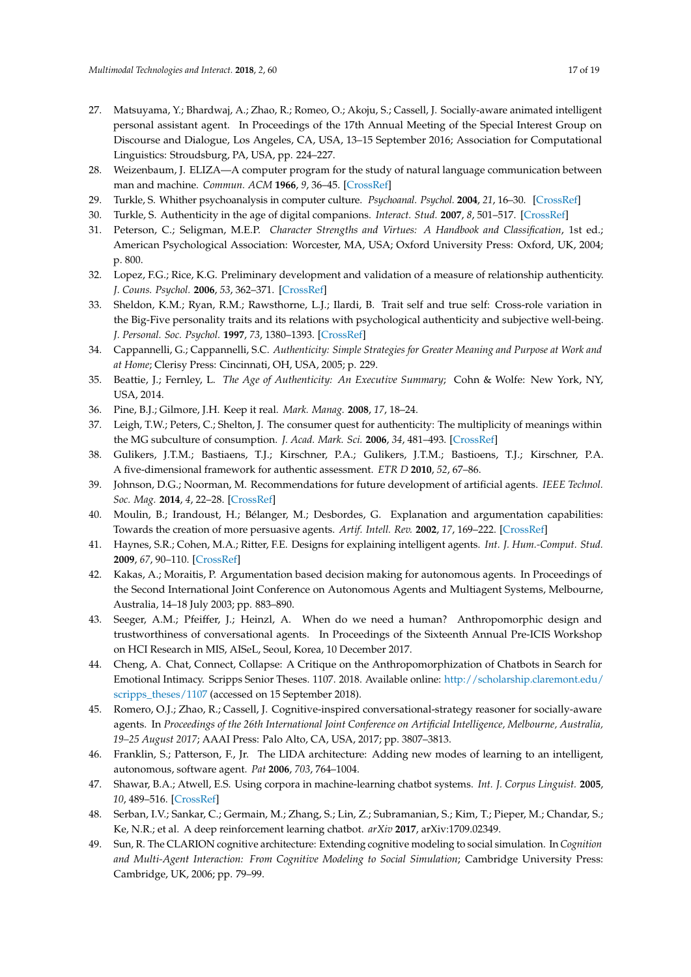- <span id="page-16-0"></span>27. Matsuyama, Y.; Bhardwaj, A.; Zhao, R.; Romeo, O.; Akoju, S.; Cassell, J. Socially-aware animated intelligent personal assistant agent. In Proceedings of the 17th Annual Meeting of the Special Interest Group on Discourse and Dialogue, Los Angeles, CA, USA, 13–15 September 2016; Association for Computational Linguistics: Stroudsburg, PA, USA, pp. 224–227.
- <span id="page-16-1"></span>28. Weizenbaum, J. ELIZA—A computer program for the study of natural language communication between man and machine. *Commun. ACM* **1966**, *9*, 36–45. [\[CrossRef\]](http://dx.doi.org/10.1145/365153.365168)
- <span id="page-16-2"></span>29. Turkle, S. Whither psychoanalysis in computer culture. *Psychoanal. Psychol.* **2004**, *21*, 16–30. [\[CrossRef\]](http://dx.doi.org/10.1037/0736-9735.21.1.16)
- <span id="page-16-3"></span>30. Turkle, S. Authenticity in the age of digital companions. *Interact. Stud.* **2007**, *8*, 501–517. [\[CrossRef\]](http://dx.doi.org/10.1075/is.8.3.11tur)
- <span id="page-16-4"></span>31. Peterson, C.; Seligman, M.E.P. *Character Strengths and Virtues: A Handbook and Classification*, 1st ed.; American Psychological Association: Worcester, MA, USA; Oxford University Press: Oxford, UK, 2004; p. 800.
- <span id="page-16-5"></span>32. Lopez, F.G.; Rice, K.G. Preliminary development and validation of a measure of relationship authenticity. *J. Couns. Psychol.* **2006**, *53*, 362–371. [\[CrossRef\]](http://dx.doi.org/10.1037/0022-0167.53.3.362)
- <span id="page-16-6"></span>33. Sheldon, K.M.; Ryan, R.M.; Rawsthorne, L.J.; Ilardi, B. Trait self and true self: Cross-role variation in the Big-Five personality traits and its relations with psychological authenticity and subjective well-being. *J. Personal. Soc. Psychol.* **1997**, *73*, 1380–1393. [\[CrossRef\]](http://dx.doi.org/10.1037/0022-3514.73.6.1380)
- <span id="page-16-7"></span>34. Cappannelli, G.; Cappannelli, S.C. *Authenticity: Simple Strategies for Greater Meaning and Purpose at Work and at Home*; Clerisy Press: Cincinnati, OH, USA, 2005; p. 229.
- <span id="page-16-8"></span>35. Beattie, J.; Fernley, L. *The Age of Authenticity: An Executive Summary*; Cohn & Wolfe: New York, NY, USA, 2014.
- <span id="page-16-9"></span>36. Pine, B.J.; Gilmore, J.H. Keep it real. *Mark. Manag.* **2008**, *17*, 18–24.
- <span id="page-16-10"></span>37. Leigh, T.W.; Peters, C.; Shelton, J. The consumer quest for authenticity: The multiplicity of meanings within the MG subculture of consumption. *J. Acad. Mark. Sci.* **2006**, *34*, 481–493. [\[CrossRef\]](http://dx.doi.org/10.1177/0092070306288403)
- <span id="page-16-11"></span>38. Gulikers, J.T.M.; Bastiaens, T.J.; Kirschner, P.A.; Gulikers, J.T.M.; Bastioens, T.J.; Kirschner, P.A. A five-dimensional framework for authentic assessment. *ETR D* **2010**, *52*, 67–86.
- <span id="page-16-12"></span>39. Johnson, D.G.; Noorman, M. Recommendations for future development of artificial agents. *IEEE Technol. Soc. Mag.* **2014**, *4*, 22–28. [\[CrossRef\]](http://dx.doi.org/10.1109/MTS.2014.2363978)
- <span id="page-16-13"></span>40. Moulin, B.; Irandoust, H.; Bélanger, M.; Desbordes, G. Explanation and argumentation capabilities: Towards the creation of more persuasive agents. *Artif. Intell. Rev.* **2002**, *17*, 169–222. [\[CrossRef\]](http://dx.doi.org/10.1023/A:1015023512975)
- <span id="page-16-14"></span>41. Haynes, S.R.; Cohen, M.A.; Ritter, F.E. Designs for explaining intelligent agents. *Int. J. Hum.-Comput. Stud.* **2009**, *67*, 90–110. [\[CrossRef\]](http://dx.doi.org/10.1016/j.ijhcs.2008.09.008)
- <span id="page-16-15"></span>42. Kakas, A.; Moraitis, P. Argumentation based decision making for autonomous agents. In Proceedings of the Second International Joint Conference on Autonomous Agents and Multiagent Systems, Melbourne, Australia, 14–18 July 2003; pp. 883–890.
- <span id="page-16-16"></span>43. Seeger, A.M.; Pfeiffer, J.; Heinzl, A. When do we need a human? Anthropomorphic design and trustworthiness of conversational agents. In Proceedings of the Sixteenth Annual Pre-ICIS Workshop on HCI Research in MIS, AISeL, Seoul, Korea, 10 December 2017.
- <span id="page-16-17"></span>44. Cheng, A. Chat, Connect, Collapse: A Critique on the Anthropomorphization of Chatbots in Search for Emotional Intimacy. Scripps Senior Theses. 1107. 2018. Available online: [http://scholarship.claremont.edu/](http://scholarship.claremont.edu/scripps_theses/1107) [scripps\\_theses/1107](http://scholarship.claremont.edu/scripps_theses/1107) (accessed on 15 September 2018).
- <span id="page-16-18"></span>45. Romero, O.J.; Zhao, R.; Cassell, J. Cognitive-inspired conversational-strategy reasoner for socially-aware agents. In *Proceedings of the 26th International Joint Conference on Artificial Intelligence, Melbourne, Australia, 19–25 August 2017*; AAAI Press: Palo Alto, CA, USA, 2017; pp. 3807–3813.
- <span id="page-16-19"></span>46. Franklin, S.; Patterson, F., Jr. The LIDA architecture: Adding new modes of learning to an intelligent, autonomous, software agent. *Pat* **2006**, *703*, 764–1004.
- 47. Shawar, B.A.; Atwell, E.S. Using corpora in machine-learning chatbot systems. *Int. J. Corpus Linguist.* **2005**, *10*, 489–516. [\[CrossRef\]](http://dx.doi.org/10.1075/ijcl.10.4.06sha)
- 48. Serban, I.V.; Sankar, C.; Germain, M.; Zhang, S.; Lin, Z.; Subramanian, S.; Kim, T.; Pieper, M.; Chandar, S.; Ke, N.R.; et al. A deep reinforcement learning chatbot. *arXiv* **2017**, arXiv:1709.02349.
- 49. Sun, R. The CLARION cognitive architecture: Extending cognitive modeling to social simulation. In *Cognition and Multi-Agent Interaction: From Cognitive Modeling to Social Simulation*; Cambridge University Press: Cambridge, UK, 2006; pp. 79–99.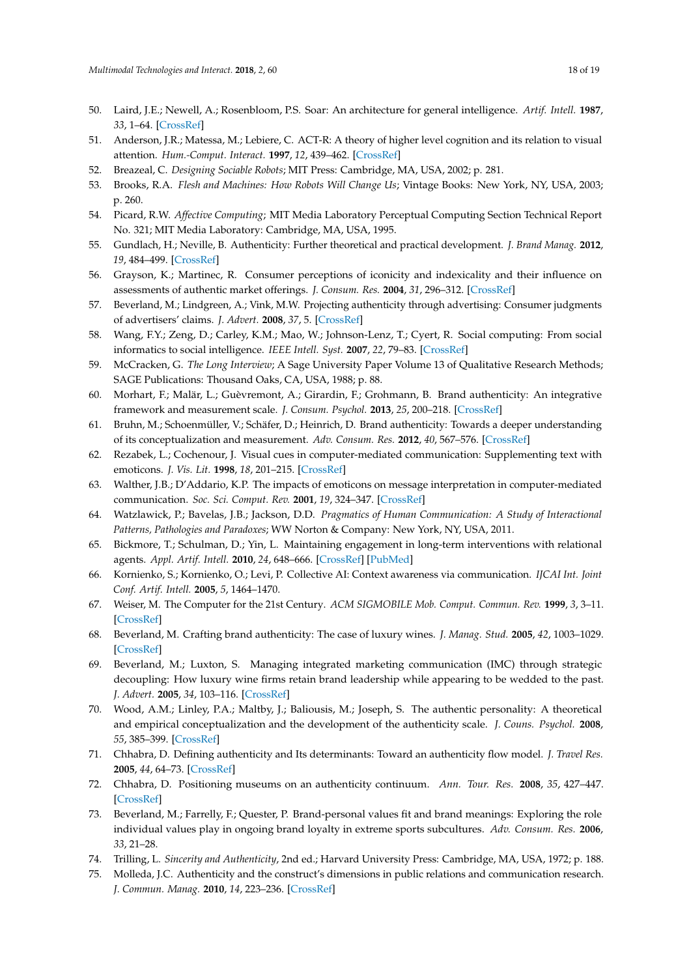- 50. Laird, J.E.; Newell, A.; Rosenbloom, P.S. Soar: An architecture for general intelligence. *Artif. Intell.* **1987**, *33*, 1–64. [\[CrossRef\]](http://dx.doi.org/10.1016/0004-3702(87)90050-6)
- <span id="page-17-0"></span>51. Anderson, J.R.; Matessa, M.; Lebiere, C. ACT-R: A theory of higher level cognition and its relation to visual attention. *Hum.-Comput. Interact.* **1997**, *12*, 439–462. [\[CrossRef\]](http://dx.doi.org/10.1207/s15327051hci1204_5)
- <span id="page-17-1"></span>52. Breazeal, C. *Designing Sociable Robots*; MIT Press: Cambridge, MA, USA, 2002; p. 281.
- 53. Brooks, R.A. *Flesh and Machines: How Robots Will Change Us*; Vintage Books: New York, NY, USA, 2003; p. 260.
- <span id="page-17-2"></span>54. Picard, R.W. *Affective Computing*; MIT Media Laboratory Perceptual Computing Section Technical Report No. 321; MIT Media Laboratory: Cambridge, MA, USA, 1995.
- <span id="page-17-3"></span>55. Gundlach, H.; Neville, B. Authenticity: Further theoretical and practical development. *J. Brand Manag.* **2012**, *19*, 484–499. [\[CrossRef\]](http://dx.doi.org/10.1057/bm.2011.51)
- <span id="page-17-4"></span>56. Grayson, K.; Martinec, R. Consumer perceptions of iconicity and indexicality and their influence on assessments of authentic market offerings. *J. Consum. Res.* **2004**, *31*, 296–312. [\[CrossRef\]](http://dx.doi.org/10.1086/422109)
- <span id="page-17-5"></span>57. Beverland, M.; Lindgreen, A.; Vink, M.W. Projecting authenticity through advertising: Consumer judgments of advertisers' claims. *J. Advert.* **2008**, *37*, 5. [\[CrossRef\]](http://dx.doi.org/10.2753/JOA0091-3367370101)
- <span id="page-17-6"></span>58. Wang, F.Y.; Zeng, D.; Carley, K.M.; Mao, W.; Johnson-Lenz, T.; Cyert, R. Social computing: From social informatics to social intelligence. *IEEE Intell. Syst.* **2007**, *22*, 79–83. [\[CrossRef\]](http://dx.doi.org/10.1109/MIS.2007.41)
- <span id="page-17-7"></span>59. McCracken, G. *The Long Interview*; A Sage University Paper Volume 13 of Qualitative Research Methods; SAGE Publications: Thousand Oaks, CA, USA, 1988; p. 88.
- <span id="page-17-8"></span>60. Morhart, F.; Malär, L.; Guèvremont, A.; Girardin, F.; Grohmann, B. Brand authenticity: An integrative framework and measurement scale. *J. Consum. Psychol.* **2013**, *25*, 200–218. [\[CrossRef\]](http://dx.doi.org/10.1016/j.jcps.2014.11.006)
- <span id="page-17-9"></span>61. Bruhn, M.; Schoenmüller, V.; Schäfer, D.; Heinrich, D. Brand authenticity: Towards a deeper understanding of its conceptualization and measurement. *Adv. Consum. Res.* **2012**, *40*, 567–576. [\[CrossRef\]](http://dx.doi.org/10.1086/429607)
- <span id="page-17-10"></span>62. Rezabek, L.; Cochenour, J. Visual cues in computer-mediated communication: Supplementing text with emoticons. *J. Vis. Lit.* **1998**, *18*, 201–215. [\[CrossRef\]](http://dx.doi.org/10.1080/23796529.1998.11674539)
- <span id="page-17-11"></span>63. Walther, J.B.; D'Addario, K.P. The impacts of emoticons on message interpretation in computer-mediated communication. *Soc. Sci. Comput. Rev.* **2001**, *19*, 324–347. [\[CrossRef\]](http://dx.doi.org/10.1177/089443930101900307)
- <span id="page-17-12"></span>64. Watzlawick, P.; Bavelas, J.B.; Jackson, D.D. *Pragmatics of Human Communication: A Study of Interactional Patterns, Pathologies and Paradoxes*; WW Norton & Company: New York, NY, USA, 2011.
- <span id="page-17-13"></span>65. Bickmore, T.; Schulman, D.; Yin, L. Maintaining engagement in long-term interventions with relational agents. *Appl. Artif. Intell.* **2010**, *24*, 648–666. [\[CrossRef\]](http://dx.doi.org/10.1080/08839514.2010.492259) [\[PubMed\]](http://www.ncbi.nlm.nih.gov/pubmed/21318052)
- <span id="page-17-14"></span>66. Kornienko, S.; Kornienko, O.; Levi, P. Collective AI: Context awareness via communication. *IJCAI Int. Joint Conf. Artif. Intell.* **2005**, *5*, 1464–1470.
- <span id="page-17-15"></span>67. Weiser, M. The Computer for the 21st Century. *ACM SIGMOBILE Mob. Comput. Commun. Rev.* **1999**, *3*, 3–11. [\[CrossRef\]](http://dx.doi.org/10.1145/329124.329126)
- <span id="page-17-16"></span>68. Beverland, M. Crafting brand authenticity: The case of luxury wines. *J. Manag. Stud.* **2005**, *42*, 1003–1029. [\[CrossRef\]](http://dx.doi.org/10.1111/j.1467-6486.2005.00530.x)
- <span id="page-17-17"></span>69. Beverland, M.; Luxton, S. Managing integrated marketing communication (IMC) through strategic decoupling: How luxury wine firms retain brand leadership while appearing to be wedded to the past. *J. Advert.* **2005**, *34*, 103–116. [\[CrossRef\]](http://dx.doi.org/10.1080/00913367.2005.10639207)
- <span id="page-17-18"></span>70. Wood, A.M.; Linley, P.A.; Maltby, J.; Baliousis, M.; Joseph, S. The authentic personality: A theoretical and empirical conceptualization and the development of the authenticity scale. *J. Couns. Psychol.* **2008**, *55*, 385–399. [\[CrossRef\]](http://dx.doi.org/10.1037/0022-0167.55.3.385)
- <span id="page-17-19"></span>71. Chhabra, D. Defining authenticity and Its determinants: Toward an authenticity flow model. *J. Travel Res.* **2005**, *44*, 64–73. [\[CrossRef\]](http://dx.doi.org/10.1177/0047287505276592)
- <span id="page-17-20"></span>72. Chhabra, D. Positioning museums on an authenticity continuum. *Ann. Tour. Res.* **2008**, *35*, 427–447. [\[CrossRef\]](http://dx.doi.org/10.1016/j.annals.2007.12.001)
- <span id="page-17-21"></span>73. Beverland, M.; Farrelly, F.; Quester, P. Brand-personal values fit and brand meanings: Exploring the role individual values play in ongoing brand loyalty in extreme sports subcultures. *Adv. Consum. Res.* **2006**, *33*, 21–28.
- <span id="page-17-22"></span>74. Trilling, L. *Sincerity and Authenticity*, 2nd ed.; Harvard University Press: Cambridge, MA, USA, 1972; p. 188.
- <span id="page-17-23"></span>75. Molleda, J.C. Authenticity and the construct's dimensions in public relations and communication research. *J. Commun. Manag.* **2010**, *14*, 223–236. [\[CrossRef\]](http://dx.doi.org/10.1108/13632541011064508)